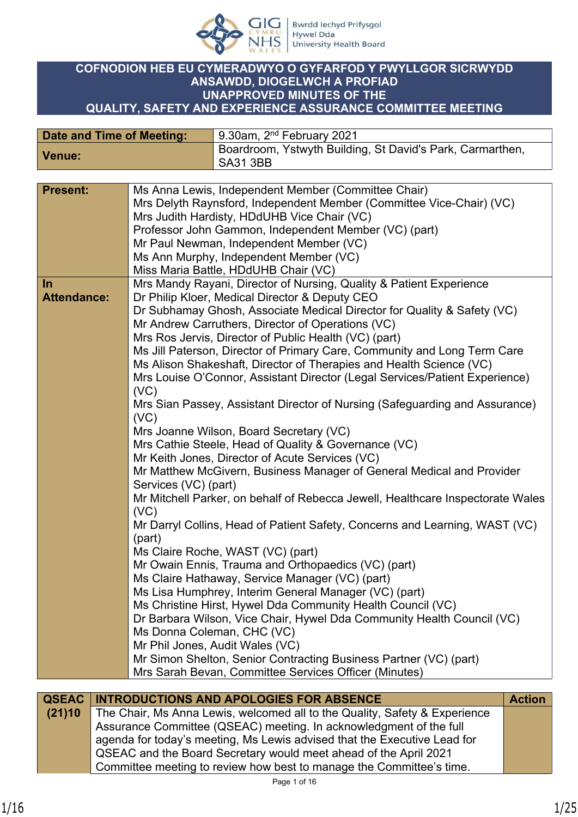

## **COFNODION HEB EU CYMERADWYO O GYFARFOD Y PWYLLGOR SICRWYDD ANSAWDD, DIOGELWCH A PROFIAD UNAPPROVED MINUTES OF THE QUALITY, SAFETY AND EXPERIENCE ASSURANCE COMMITTEE MEETING**

| Date and Time of Meeting: | 9.30am, 2 <sup>nd</sup> February 2021                                   |
|---------------------------|-------------------------------------------------------------------------|
| Venue:                    | Boardroom, Ystwyth Building, St David's Park, Carmarthen,<br>  SA31 3BB |

| <b>Present:</b>    | Ms Anna Lewis, Independent Member (Committee Chair)                                 |
|--------------------|-------------------------------------------------------------------------------------|
|                    | Mrs Delyth Raynsford, Independent Member (Committee Vice-Chair) (VC)                |
|                    | Mrs Judith Hardisty, HDdUHB Vice Chair (VC)                                         |
|                    | Professor John Gammon, Independent Member (VC) (part)                               |
|                    | Mr Paul Newman, Independent Member (VC)                                             |
|                    | Ms Ann Murphy, Independent Member (VC)                                              |
|                    | Miss Maria Battle, HDdUHB Chair (VC)                                                |
| In                 | Mrs Mandy Rayani, Director of Nursing, Quality & Patient Experience                 |
| <b>Attendance:</b> | Dr Philip Kloer, Medical Director & Deputy CEO                                      |
|                    | Dr Subhamay Ghosh, Associate Medical Director for Quality & Safety (VC)             |
|                    | Mr Andrew Carruthers, Director of Operations (VC)                                   |
|                    | Mrs Ros Jervis, Director of Public Health (VC) (part)                               |
|                    | Ms Jill Paterson, Director of Primary Care, Community and Long Term Care            |
|                    |                                                                                     |
|                    | Ms Alison Shakeshaft, Director of Therapies and Health Science (VC)                 |
|                    | Mrs Louise O'Connor, Assistant Director (Legal Services/Patient Experience)<br>(VC) |
|                    | Mrs Sian Passey, Assistant Director of Nursing (Safeguarding and Assurance)         |
|                    | (VC)                                                                                |
|                    | Mrs Joanne Wilson, Board Secretary (VC)                                             |
|                    | Mrs Cathie Steele, Head of Quality & Governance (VC)                                |
|                    | Mr Keith Jones, Director of Acute Services (VC)                                     |
|                    |                                                                                     |
|                    | Mr Matthew McGivern, Business Manager of General Medical and Provider               |
|                    | Services (VC) (part)                                                                |
|                    | Mr Mitchell Parker, on behalf of Rebecca Jewell, Healthcare Inspectorate Wales      |
|                    | (VC)                                                                                |
|                    | Mr Darryl Collins, Head of Patient Safety, Concerns and Learning, WAST (VC)         |
|                    | (part)<br>Ms Claire Roche, WAST (VC) (part)                                         |
|                    | Mr Owain Ennis, Trauma and Orthopaedics (VC) (part)                                 |
|                    | Ms Claire Hathaway, Service Manager (VC) (part)                                     |
|                    | Ms Lisa Humphrey, Interim General Manager (VC) (part)                               |
|                    | Ms Christine Hirst, Hywel Dda Community Health Council (VC)                         |
|                    |                                                                                     |
|                    | Dr Barbara Wilson, Vice Chair, Hywel Dda Community Health Council (VC)              |
|                    | Ms Donna Coleman, CHC (VC)                                                          |
|                    | Mr Phil Jones, Audit Wales (VC)                                                     |
|                    | Mr Simon Shelton, Senior Contracting Business Partner (VC) (part)                   |
|                    | Mrs Sarah Bevan, Committee Services Officer (Minutes)                               |
|                    |                                                                                     |

|        | <b>QSEAC INTRODUCTIONS AND APOLOGIES FOR ABSENCE</b>                       | <b>Action</b> |
|--------|----------------------------------------------------------------------------|---------------|
| (21)10 | The Chair, Ms Anna Lewis, welcomed all to the Quality, Safety & Experience |               |
|        | Assurance Committee (QSEAC) meeting. In acknowledgment of the full         |               |
|        | agenda for today's meeting, Ms Lewis advised that the Executive Lead for   |               |
|        | QSEAC and the Board Secretary would meet ahead of the April 2021           |               |
|        | Committee meeting to review how best to manage the Committee's time.       |               |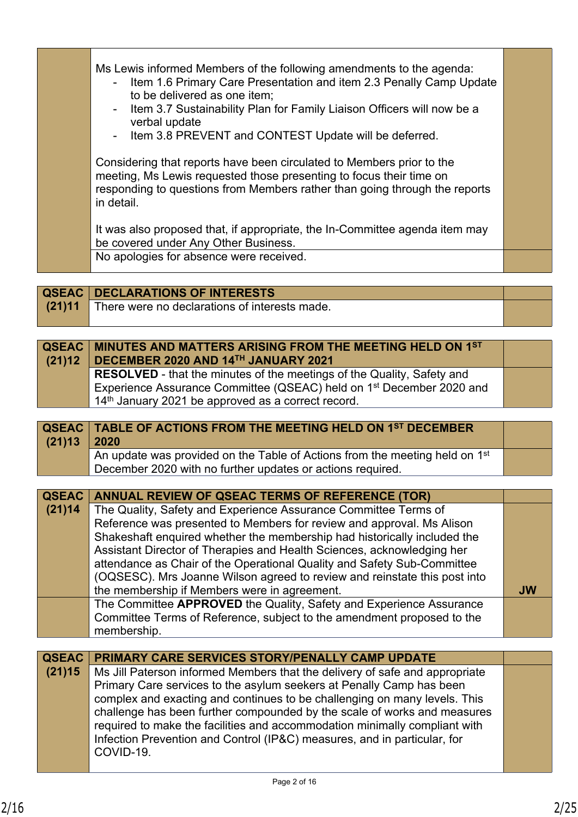| Ms Lewis informed Members of the following amendments to the agenda:<br>- Item 1.6 Primary Care Presentation and item 2.3 Penally Camp Update<br>to be delivered as one item;<br>- Item 3.7 Sustainability Plan for Family Liaison Officers will now be a<br>verbal update<br>- Item 3.8 PREVENT and CONTEST Update will be deferred. |  |
|---------------------------------------------------------------------------------------------------------------------------------------------------------------------------------------------------------------------------------------------------------------------------------------------------------------------------------------|--|
| Considering that reports have been circulated to Members prior to the<br>meeting, Ms Lewis requested those presenting to focus their time on<br>responding to questions from Members rather than going through the reports<br>in detail.                                                                                              |  |
| It was also proposed that, if appropriate, the In-Committee agenda item may<br>be covered under Any Other Business.                                                                                                                                                                                                                   |  |
| No apologies for absence were received.                                                                                                                                                                                                                                                                                               |  |

|        | <b>QSEAC DECLARATIONS OF INTERESTS</b>        |  |
|--------|-----------------------------------------------|--|
| (21)11 | There were no declarations of interests made. |  |
|        |                                               |  |

| QSEAC   MINUTES AND MATTERS ARISING FROM THE MEETING HELD ON 1ST<br>(21)12   DECEMBER 2020 AND 14TH JANUARY 2021 |  |
|------------------------------------------------------------------------------------------------------------------|--|
| RESOLVED - that the minutes of the meetings of the Quality, Safety and                                           |  |
| Experience Assurance Committee (QSEAC) held on 1 <sup>st</sup> December 2020 and                                 |  |
| 14 <sup>th</sup> January 2021 be approved as a correct record.                                                   |  |

| $(21)13$ 2020 | <b>QSEAC   TABLE OF ACTIONS FROM THE MEETING HELD ON 1ST DECEMBER</b>                   |  |
|---------------|-----------------------------------------------------------------------------------------|--|
|               | An update was provided on the Table of Actions from the meeting held on 1 <sup>st</sup> |  |
|               | December 2020 with no further updates or actions required.                              |  |

| QSEAC  | <b>ANNUAL REVIEW OF QSEAC TERMS OF REFERENCE (TOR)</b>                    |           |
|--------|---------------------------------------------------------------------------|-----------|
| (21)14 | The Quality, Safety and Experience Assurance Committee Terms of           |           |
|        | Reference was presented to Members for review and approval. Ms Alison     |           |
|        | Shakeshaft enquired whether the membership had historically included the  |           |
|        | Assistant Director of Therapies and Health Sciences, acknowledging her    |           |
|        | attendance as Chair of the Operational Quality and Safety Sub-Committee   |           |
|        | (OQSESC). Mrs Joanne Wilson agreed to review and reinstate this post into |           |
|        | the membership if Members were in agreement.                              | <b>JW</b> |
|        | The Committee APPROVED the Quality, Safety and Experience Assurance       |           |
|        | Committee Terms of Reference, subject to the amendment proposed to the    |           |
|        | membership.                                                               |           |

|        | <b>QSEAC PRIMARY CARE SERVICES STORY/PENALLY CAMP UPDATE</b>                |  |
|--------|-----------------------------------------------------------------------------|--|
| (21)15 | Ms Jill Paterson informed Members that the delivery of safe and appropriate |  |
|        | Primary Care services to the asylum seekers at Penally Camp has been        |  |
|        | complex and exacting and continues to be challenging on many levels. This   |  |
|        | challenge has been further compounded by the scale of works and measures    |  |
|        | required to make the facilities and accommodation minimally compliant with  |  |
|        | Infection Prevention and Control (IP&C) measures, and in particular, for    |  |
|        | COVID-19.                                                                   |  |
|        |                                                                             |  |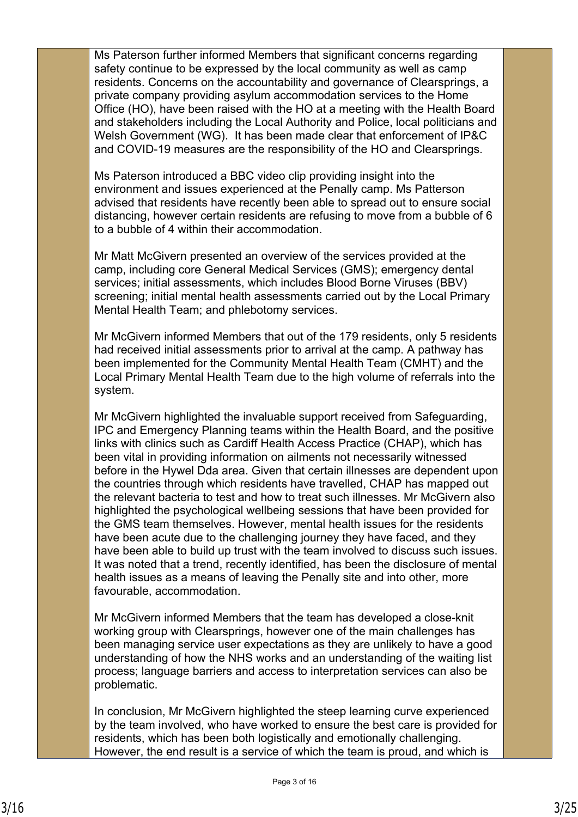Ms Paterson further informed Members that significant concerns regarding safety continue to be expressed by the local community as well as camp residents. Concerns on the accountability and governance of Clearsprings, a private company providing asylum accommodation services to the Home Office (HO), have been raised with the HO at a meeting with the Health Board and stakeholders including the Local Authority and Police, local politicians and Welsh Government (WG). It has been made clear that enforcement of IP&C and COVID-19 measures are the responsibility of the HO and Clearsprings.

Ms Paterson introduced a BBC video clip providing insight into the environment and issues experienced at the Penally camp. Ms Patterson advised that residents have recently been able to spread out to ensure social distancing, however certain residents are refusing to move from a bubble of 6 to a bubble of 4 within their accommodation.

Mr Matt McGivern presented an overview of the services provided at the camp, including core General Medical Services (GMS); emergency dental services; initial assessments, which includes Blood Borne Viruses (BBV) screening; initial mental health assessments carried out by the Local Primary Mental Health Team; and phlebotomy services.

Mr McGivern informed Members that out of the 179 residents, only 5 residents had received initial assessments prior to arrival at the camp. A pathway has been implemented for the Community Mental Health Team (CMHT) and the Local Primary Mental Health Team due to the high volume of referrals into the system.

Mr McGivern highlighted the invaluable support received from Safeguarding, IPC and Emergency Planning teams within the Health Board, and the positive links with clinics such as Cardiff Health Access Practice (CHAP), which has been vital in providing information on ailments not necessarily witnessed before in the Hywel Dda area. Given that certain illnesses are dependent upon the countries through which residents have travelled, CHAP has mapped out the relevant bacteria to test and how to treat such illnesses. Mr McGivern also highlighted the psychological wellbeing sessions that have been provided for the GMS team themselves. However, mental health issues for the residents have been acute due to the challenging journey they have faced, and they have been able to build up trust with the team involved to discuss such issues. It was noted that a trend, recently identified, has been the disclosure of mental health issues as a means of leaving the Penally site and into other, more favourable, accommodation.

Mr McGivern informed Members that the team has developed a close-knit working group with Clearsprings, however one of the main challenges has been managing service user expectations as they are unlikely to have a good understanding of how the NHS works and an understanding of the waiting list process; language barriers and access to interpretation services can also be problematic.

In conclusion, Mr McGivern highlighted the steep learning curve experienced by the team involved, who have worked to ensure the best care is provided for residents, which has been both logistically and emotionally challenging. However, the end result is a service of which the team is proud, and which is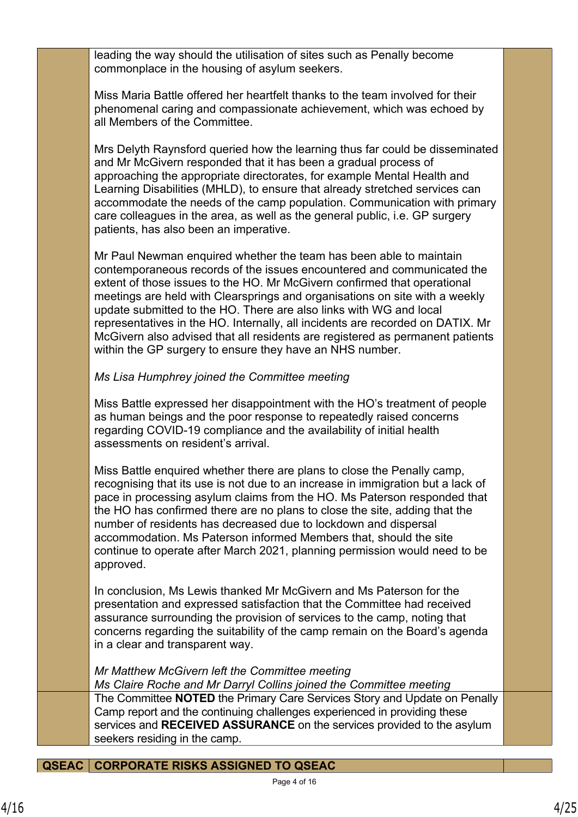leading the way should the utilisation of sites such as Penally become commonplace in the housing of asylum seekers.

Miss Maria Battle offered her heartfelt thanks to the team involved for their phenomenal caring and compassionate achievement, which was echoed by all Members of the Committee.

Mrs Delyth Raynsford queried how the learning thus far could be disseminated and Mr McGivern responded that it has been a gradual process of approaching the appropriate directorates, for example Mental Health and Learning Disabilities (MHLD), to ensure that already stretched services can accommodate the needs of the camp population. Communication with primary care colleagues in the area, as well as the general public, i.e. GP surgery patients, has also been an imperative.

Mr Paul Newman enquired whether the team has been able to maintain contemporaneous records of the issues encountered and communicated the extent of those issues to the HO. Mr McGivern confirmed that operational meetings are held with Clearsprings and organisations on site with a weekly update submitted to the HO. There are also links with WG and local representatives in the HO. Internally, all incidents are recorded on DATIX. Mr McGivern also advised that all residents are registered as permanent patients within the GP surgery to ensure they have an NHS number.

## *Ms Lisa Humphrey joined the Committee meeting*

Miss Battle expressed her disappointment with the HO's treatment of people as human beings and the poor response to repeatedly raised concerns regarding COVID-19 compliance and the availability of initial health assessments on resident's arrival.

Miss Battle enquired whether there are plans to close the Penally camp, recognising that its use is not due to an increase in immigration but a lack of pace in processing asylum claims from the HO. Ms Paterson responded that the HO has confirmed there are no plans to close the site, adding that the number of residents has decreased due to lockdown and dispersal accommodation. Ms Paterson informed Members that, should the site continue to operate after March 2021, planning permission would need to be approved.

In conclusion, Ms Lewis thanked Mr McGivern and Ms Paterson for the presentation and expressed satisfaction that the Committee had received assurance surrounding the provision of services to the camp, noting that concerns regarding the suitability of the camp remain on the Board's agenda in a clear and transparent way.

*Mr Matthew McGivern left the Committee meeting*

*Ms Claire Roche and Mr Darryl Collins joined the Committee meeting* The Committee **NOTED** the Primary Care Services Story and Update on Penally Camp report and the continuing challenges experienced in providing these services and **RECEIVED ASSURANCE** on the services provided to the asylum seekers residing in the camp.

**QSEAC CORPORATE RISKS ASSIGNED TO QSEAC**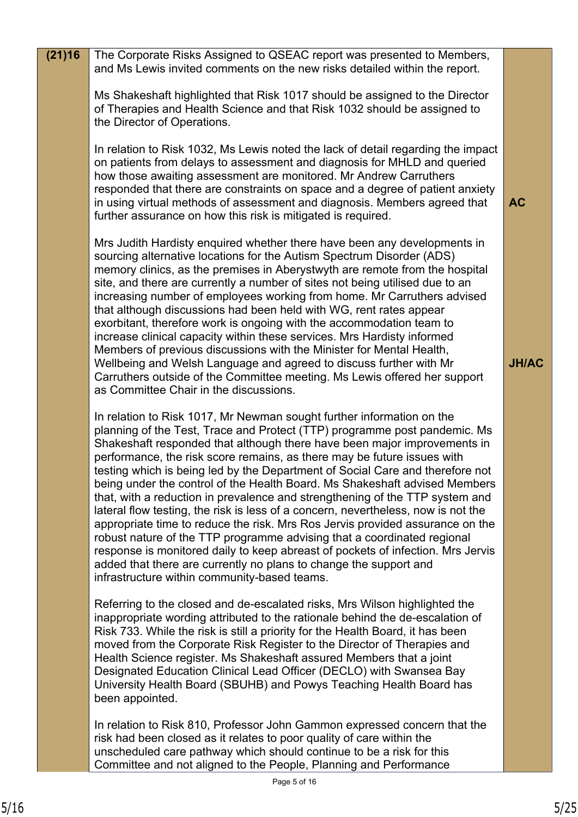| (21)16 | The Corporate Risks Assigned to QSEAC report was presented to Members,<br>and Ms Lewis invited comments on the new risks detailed within the report.                                                                                                                                                                                                                                                                                                                                                                                                                                                                                                                                                                                                                                                                                                                                                                                                                                                              |              |
|--------|-------------------------------------------------------------------------------------------------------------------------------------------------------------------------------------------------------------------------------------------------------------------------------------------------------------------------------------------------------------------------------------------------------------------------------------------------------------------------------------------------------------------------------------------------------------------------------------------------------------------------------------------------------------------------------------------------------------------------------------------------------------------------------------------------------------------------------------------------------------------------------------------------------------------------------------------------------------------------------------------------------------------|--------------|
|        | Ms Shakeshaft highlighted that Risk 1017 should be assigned to the Director<br>of Therapies and Health Science and that Risk 1032 should be assigned to<br>the Director of Operations.                                                                                                                                                                                                                                                                                                                                                                                                                                                                                                                                                                                                                                                                                                                                                                                                                            |              |
|        | In relation to Risk 1032, Ms Lewis noted the lack of detail regarding the impact<br>on patients from delays to assessment and diagnosis for MHLD and queried<br>how those awaiting assessment are monitored. Mr Andrew Carruthers<br>responded that there are constraints on space and a degree of patient anxiety<br>in using virtual methods of assessment and diagnosis. Members agreed that<br>further assurance on how this risk is mitigated is required.                                                                                                                                                                                                                                                                                                                                                                                                                                                                                                                                                   | <b>AC</b>    |
|        | Mrs Judith Hardisty enquired whether there have been any developments in<br>sourcing alternative locations for the Autism Spectrum Disorder (ADS)<br>memory clinics, as the premises in Aberystwyth are remote from the hospital<br>site, and there are currently a number of sites not being utilised due to an<br>increasing number of employees working from home. Mr Carruthers advised<br>that although discussions had been held with WG, rent rates appear<br>exorbitant, therefore work is ongoing with the accommodation team to<br>increase clinical capacity within these services. Mrs Hardisty informed<br>Members of previous discussions with the Minister for Mental Health,<br>Wellbeing and Welsh Language and agreed to discuss further with Mr<br>Carruthers outside of the Committee meeting. Ms Lewis offered her support<br>as Committee Chair in the discussions.                                                                                                                         | <b>JH/AC</b> |
|        | In relation to Risk 1017, Mr Newman sought further information on the<br>planning of the Test, Trace and Protect (TTP) programme post pandemic. Ms<br>Shakeshaft responded that although there have been major improvements in<br>performance, the risk score remains, as there may be future issues with<br>testing which is being led by the Department of Social Care and therefore not<br>being under the control of the Health Board. Ms Shakeshaft advised Members<br>that, with a reduction in prevalence and strengthening of the TTP system and<br>lateral flow testing, the risk is less of a concern, nevertheless, now is not the<br>appropriate time to reduce the risk. Mrs Ros Jervis provided assurance on the<br>robust nature of the TTP programme advising that a coordinated regional<br>response is monitored daily to keep abreast of pockets of infection. Mrs Jervis<br>added that there are currently no plans to change the support and<br>infrastructure within community-based teams. |              |
|        | Referring to the closed and de-escalated risks, Mrs Wilson highlighted the<br>inappropriate wording attributed to the rationale behind the de-escalation of<br>Risk 733. While the risk is still a priority for the Health Board, it has been<br>moved from the Corporate Risk Register to the Director of Therapies and<br>Health Science register. Ms Shakeshaft assured Members that a joint<br>Designated Education Clinical Lead Officer (DECLO) with Swansea Bay<br>University Health Board (SBUHB) and Powys Teaching Health Board has<br>been appointed.                                                                                                                                                                                                                                                                                                                                                                                                                                                  |              |
|        | In relation to Risk 810, Professor John Gammon expressed concern that the<br>risk had been closed as it relates to poor quality of care within the<br>unscheduled care pathway which should continue to be a risk for this<br>Committee and not aligned to the People, Planning and Performance                                                                                                                                                                                                                                                                                                                                                                                                                                                                                                                                                                                                                                                                                                                   |              |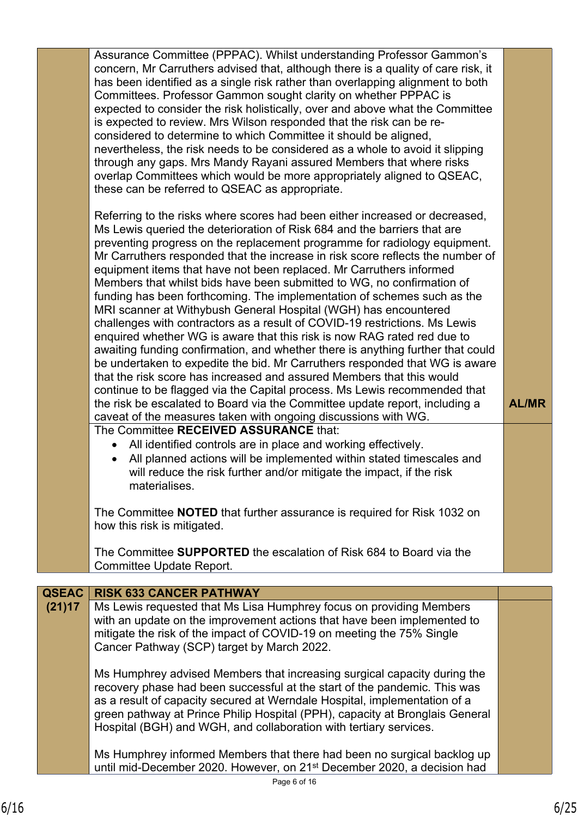|              | Assurance Committee (PPPAC). Whilst understanding Professor Gammon's<br>concern, Mr Carruthers advised that, although there is a quality of care risk, it<br>has been identified as a single risk rather than overlapping alignment to both<br>Committees. Professor Gammon sought clarity on whether PPPAC is<br>expected to consider the risk holistically, over and above what the Committee<br>is expected to review. Mrs Wilson responded that the risk can be re-<br>considered to determine to which Committee it should be aligned,<br>nevertheless, the risk needs to be considered as a whole to avoid it slipping<br>through any gaps. Mrs Mandy Rayani assured Members that where risks<br>overlap Committees which would be more appropriately aligned to QSEAC,<br>these can be referred to QSEAC as appropriate.                                                                                                                                                                                                                                                                                                                                                                                                                                                                                                                                                                                                                                                                                                                               |              |
|--------------|---------------------------------------------------------------------------------------------------------------------------------------------------------------------------------------------------------------------------------------------------------------------------------------------------------------------------------------------------------------------------------------------------------------------------------------------------------------------------------------------------------------------------------------------------------------------------------------------------------------------------------------------------------------------------------------------------------------------------------------------------------------------------------------------------------------------------------------------------------------------------------------------------------------------------------------------------------------------------------------------------------------------------------------------------------------------------------------------------------------------------------------------------------------------------------------------------------------------------------------------------------------------------------------------------------------------------------------------------------------------------------------------------------------------------------------------------------------------------------------------------------------------------------------------------------------|--------------|
|              | Referring to the risks where scores had been either increased or decreased,<br>Ms Lewis queried the deterioration of Risk 684 and the barriers that are<br>preventing progress on the replacement programme for radiology equipment.<br>Mr Carruthers responded that the increase in risk score reflects the number of<br>equipment items that have not been replaced. Mr Carruthers informed<br>Members that whilst bids have been submitted to WG, no confirmation of<br>funding has been forthcoming. The implementation of schemes such as the<br>MRI scanner at Withybush General Hospital (WGH) has encountered<br>challenges with contractors as a result of COVID-19 restrictions. Ms Lewis<br>enquired whether WG is aware that this risk is now RAG rated red due to<br>awaiting funding confirmation, and whether there is anything further that could<br>be undertaken to expedite the bid. Mr Carruthers responded that WG is aware<br>that the risk score has increased and assured Members that this would<br>continue to be flagged via the Capital process. Ms Lewis recommended that<br>the risk be escalated to Board via the Committee update report, including a<br>caveat of the measures taken with ongoing discussions with WG.<br>The Committee RECEIVED ASSURANCE that:<br>All identified controls are in place and working effectively.<br>$\bullet$<br>All planned actions will be implemented within stated timescales and<br>$\bullet$<br>will reduce the risk further and/or mitigate the impact, if the risk<br>materialises. | <b>AL/MR</b> |
|              | The Committee NOTED that further assurance is required for Risk 1032 on<br>how this risk is mitigated.                                                                                                                                                                                                                                                                                                                                                                                                                                                                                                                                                                                                                                                                                                                                                                                                                                                                                                                                                                                                                                                                                                                                                                                                                                                                                                                                                                                                                                                        |              |
|              | The Committee <b>SUPPORTED</b> the escalation of Risk 684 to Board via the<br>Committee Update Report.                                                                                                                                                                                                                                                                                                                                                                                                                                                                                                                                                                                                                                                                                                                                                                                                                                                                                                                                                                                                                                                                                                                                                                                                                                                                                                                                                                                                                                                        |              |
| <b>QSEAC</b> | <b>RISK 633 CANCER PATHWAY</b>                                                                                                                                                                                                                                                                                                                                                                                                                                                                                                                                                                                                                                                                                                                                                                                                                                                                                                                                                                                                                                                                                                                                                                                                                                                                                                                                                                                                                                                                                                                                |              |
| (21)17       | Ms Lewis requested that Ms Lisa Humphrey focus on providing Members<br>with an update on the improvement actions that have been implemented to<br>mitigate the risk of the impact of COVID-19 on meeting the 75% Single<br>Cancer Pathway (SCP) target by March 2022.                                                                                                                                                                                                                                                                                                                                                                                                                                                                                                                                                                                                                                                                                                                                                                                                                                                                                                                                                                                                                                                                                                                                                                                                                                                                                         |              |
|              | Ms Humphrey advised Members that increasing surgical capacity during the<br>recovery phase had been successful at the start of the pandemic. This was<br>as a result of capacity secured at Werndale Hospital, implementation of a<br>green pathway at Prince Philip Hospital (PPH), capacity at Bronglais General<br>Hospital (BGH) and WGH, and collaboration with tertiary services.                                                                                                                                                                                                                                                                                                                                                                                                                                                                                                                                                                                                                                                                                                                                                                                                                                                                                                                                                                                                                                                                                                                                                                       |              |
|              | Ms Humphrey informed Members that there had been no surgical backlog up<br>until mid-December 2020. However, on 21 <sup>st</sup> December 2020, a decision had                                                                                                                                                                                                                                                                                                                                                                                                                                                                                                                                                                                                                                                                                                                                                                                                                                                                                                                                                                                                                                                                                                                                                                                                                                                                                                                                                                                                |              |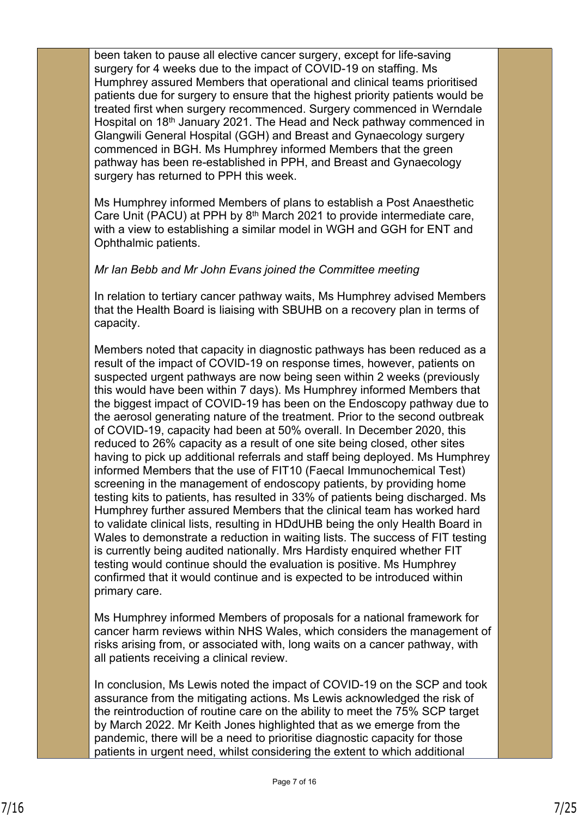been taken to pause all elective cancer surgery, except for life-saving surgery for 4 weeks due to the impact of COVID-19 on staffing. Ms Humphrey assured Members that operational and clinical teams prioritised patients due for surgery to ensure that the highest priority patients would be treated first when surgery recommenced. Surgery commenced in Werndale Hospital on 18th January 2021. The Head and Neck pathway commenced in Glangwili General Hospital (GGH) and Breast and Gynaecology surgery commenced in BGH. Ms Humphrey informed Members that the green pathway has been re-established in PPH, and Breast and Gynaecology surgery has returned to PPH this week.

Ms Humphrey informed Members of plans to establish a Post Anaesthetic Care Unit (PACU) at PPH by  $8<sup>th</sup>$  March 2021 to provide intermediate care, with a view to establishing a similar model in WGH and GGH for ENT and Ophthalmic patients.

## *Mr Ian Bebb and Mr John Evans joined the Committee meeting*

In relation to tertiary cancer pathway waits, Ms Humphrey advised Members that the Health Board is liaising with SBUHB on a recovery plan in terms of capacity.

Members noted that capacity in diagnostic pathways has been reduced as a result of the impact of COVID-19 on response times, however, patients on suspected urgent pathways are now being seen within 2 weeks (previously this would have been within 7 days). Ms Humphrey informed Members that the biggest impact of COVID-19 has been on the Endoscopy pathway due to the aerosol generating nature of the treatment. Prior to the second outbreak of COVID-19, capacity had been at 50% overall. In December 2020, this reduced to 26% capacity as a result of one site being closed, other sites having to pick up additional referrals and staff being deployed. Ms Humphrey informed Members that the use of FIT10 (Faecal Immunochemical Test) screening in the management of endoscopy patients, by providing home testing kits to patients, has resulted in 33% of patients being discharged. Ms Humphrey further assured Members that the clinical team has worked hard to validate clinical lists, resulting in HDdUHB being the only Health Board in Wales to demonstrate a reduction in waiting lists. The success of FIT testing is currently being audited nationally. Mrs Hardisty enquired whether FIT testing would continue should the evaluation is positive. Ms Humphrey confirmed that it would continue and is expected to be introduced within primary care.

Ms Humphrey informed Members of proposals for a national framework for cancer harm reviews within NHS Wales, which considers the management of risks arising from, or associated with, long waits on a cancer pathway, with all patients receiving a clinical review.

In conclusion, Ms Lewis noted the impact of COVID-19 on the SCP and took assurance from the mitigating actions. Ms Lewis acknowledged the risk of the reintroduction of routine care on the ability to meet the 75% SCP target by March 2022. Mr Keith Jones highlighted that as we emerge from the pandemic, there will be a need to prioritise diagnostic capacity for those patients in urgent need, whilst considering the extent to which additional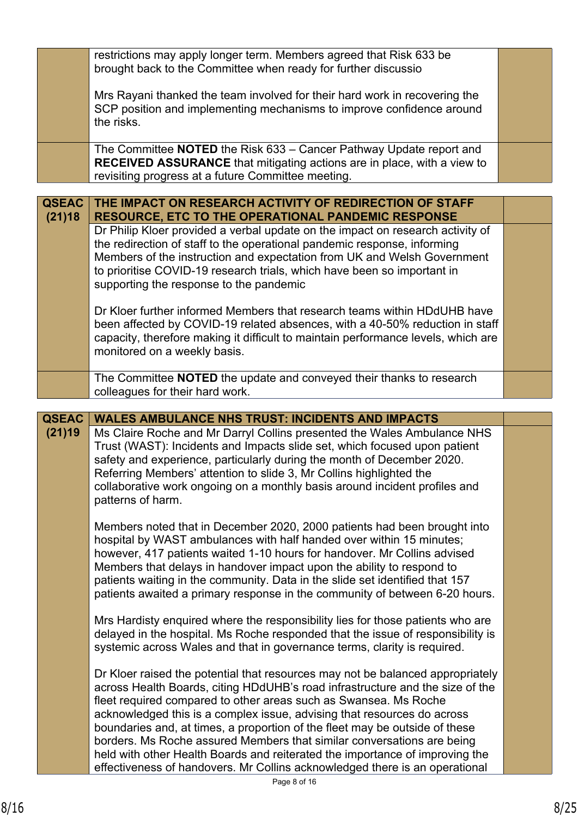|                        | restrictions may apply longer term. Members agreed that Risk 633 be<br>brought back to the Committee when ready for further discussio                                                                                                                                                                                                                                                                                                                                |  |
|------------------------|----------------------------------------------------------------------------------------------------------------------------------------------------------------------------------------------------------------------------------------------------------------------------------------------------------------------------------------------------------------------------------------------------------------------------------------------------------------------|--|
|                        | Mrs Rayani thanked the team involved for their hard work in recovering the<br>SCP position and implementing mechanisms to improve confidence around<br>the risks.                                                                                                                                                                                                                                                                                                    |  |
|                        | The Committee NOTED the Risk 633 - Cancer Pathway Update report and<br><b>RECEIVED ASSURANCE</b> that mitigating actions are in place, with a view to<br>revisiting progress at a future Committee meeting.                                                                                                                                                                                                                                                          |  |
| <b>QSEAC</b><br>(21)18 | THE IMPACT ON RESEARCH ACTIVITY OF REDIRECTION OF STAFF<br><b>RESOURCE, ETC TO THE OPERATIONAL PANDEMIC RESPONSE</b>                                                                                                                                                                                                                                                                                                                                                 |  |
|                        | Dr Philip Kloer provided a verbal update on the impact on research activity of<br>the redirection of staff to the operational pandemic response, informing<br>Members of the instruction and expectation from UK and Welsh Government<br>to prioritise COVID-19 research trials, which have been so important in<br>supporting the response to the pandemic                                                                                                          |  |
|                        | Dr Kloer further informed Members that research teams within HDdUHB have<br>been affected by COVID-19 related absences, with a 40-50% reduction in staff<br>capacity, therefore making it difficult to maintain performance levels, which are<br>monitored on a weekly basis.                                                                                                                                                                                        |  |
|                        | The Committee <b>NOTED</b> the update and conveyed their thanks to research<br>colleagues for their hard work.                                                                                                                                                                                                                                                                                                                                                       |  |
|                        |                                                                                                                                                                                                                                                                                                                                                                                                                                                                      |  |
|                        |                                                                                                                                                                                                                                                                                                                                                                                                                                                                      |  |
| <b>QSEAC</b><br>(21)19 | <b>WALES AMBULANCE NHS TRUST: INCIDENTS AND IMPACTS</b><br>Ms Claire Roche and Mr Darryl Collins presented the Wales Ambulance NHS<br>Trust (WAST): Incidents and Impacts slide set, which focused upon patient<br>safety and experience, particularly during the month of December 2020.<br>Referring Members' attention to slide 3, Mr Collins highlighted the<br>collaborative work ongoing on a monthly basis around incident profiles and<br>patterns of harm.  |  |
|                        | Members noted that in December 2020, 2000 patients had been brought into<br>hospital by WAST ambulances with half handed over within 15 minutes;<br>however, 417 patients waited 1-10 hours for handover. Mr Collins advised<br>Members that delays in handover impact upon the ability to respond to<br>patients waiting in the community. Data in the slide set identified that 157<br>patients awaited a primary response in the community of between 6-20 hours. |  |
|                        | Mrs Hardisty enquired where the responsibility lies for those patients who are<br>delayed in the hospital. Ms Roche responded that the issue of responsibility is<br>systemic across Wales and that in governance terms, clarity is required.                                                                                                                                                                                                                        |  |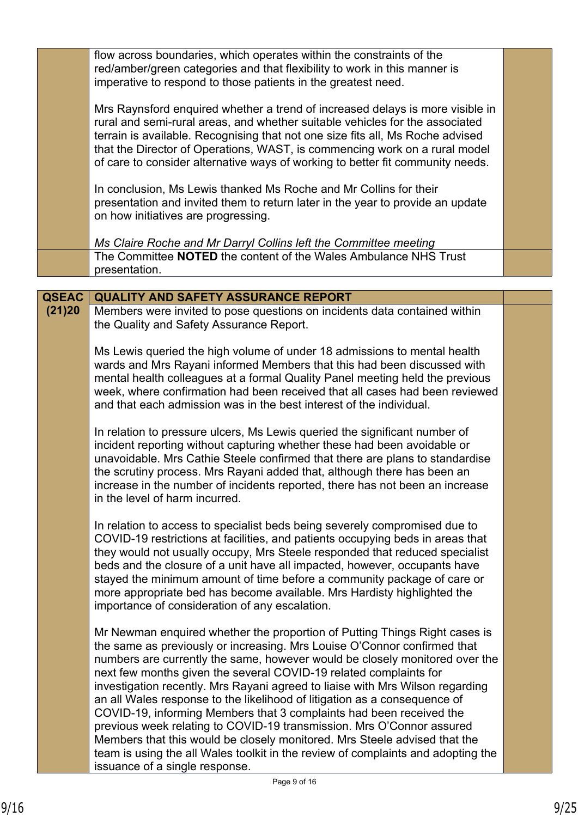|              | flow across boundaries, which operates within the constraints of the<br>red/amber/green categories and that flexibility to work in this manner is<br>imperative to respond to those patients in the greatest need.                                                                                                                                                                                                                                                                                                                                                                                                                                                                                                                                                                                                          |  |
|--------------|-----------------------------------------------------------------------------------------------------------------------------------------------------------------------------------------------------------------------------------------------------------------------------------------------------------------------------------------------------------------------------------------------------------------------------------------------------------------------------------------------------------------------------------------------------------------------------------------------------------------------------------------------------------------------------------------------------------------------------------------------------------------------------------------------------------------------------|--|
|              | Mrs Raynsford enquired whether a trend of increased delays is more visible in<br>rural and semi-rural areas, and whether suitable vehicles for the associated<br>terrain is available. Recognising that not one size fits all, Ms Roche advised<br>that the Director of Operations, WAST, is commencing work on a rural model<br>of care to consider alternative ways of working to better fit community needs.                                                                                                                                                                                                                                                                                                                                                                                                             |  |
|              | In conclusion, Ms Lewis thanked Ms Roche and Mr Collins for their<br>presentation and invited them to return later in the year to provide an update<br>on how initiatives are progressing.                                                                                                                                                                                                                                                                                                                                                                                                                                                                                                                                                                                                                                  |  |
|              | Ms Claire Roche and Mr Darryl Collins left the Committee meeting<br>The Committee NOTED the content of the Wales Ambulance NHS Trust<br>presentation.                                                                                                                                                                                                                                                                                                                                                                                                                                                                                                                                                                                                                                                                       |  |
|              |                                                                                                                                                                                                                                                                                                                                                                                                                                                                                                                                                                                                                                                                                                                                                                                                                             |  |
| <b>QSEAC</b> | <b>QUALITY AND SAFETY ASSURANCE REPORT</b>                                                                                                                                                                                                                                                                                                                                                                                                                                                                                                                                                                                                                                                                                                                                                                                  |  |
| (21)20       | Members were invited to pose questions on incidents data contained within<br>the Quality and Safety Assurance Report.                                                                                                                                                                                                                                                                                                                                                                                                                                                                                                                                                                                                                                                                                                       |  |
|              | Ms Lewis queried the high volume of under 18 admissions to mental health<br>wards and Mrs Rayani informed Members that this had been discussed with<br>mental health colleagues at a formal Quality Panel meeting held the previous<br>week, where confirmation had been received that all cases had been reviewed<br>and that each admission was in the best interest of the individual.                                                                                                                                                                                                                                                                                                                                                                                                                                   |  |
|              | In relation to pressure ulcers, Ms Lewis queried the significant number of<br>incident reporting without capturing whether these had been avoidable or<br>unavoidable. Mrs Cathie Steele confirmed that there are plans to standardise<br>the scrutiny process. Mrs Rayani added that, although there has been an<br>increase in the number of incidents reported, there has not been an increase<br>in the level of harm incurred.                                                                                                                                                                                                                                                                                                                                                                                         |  |
|              | In relation to access to specialist beds being severely compromised due to<br>COVID-19 restrictions at facilities, and patients occupying beds in areas that<br>they would not usually occupy, Mrs Steele responded that reduced specialist<br>beds and the closure of a unit have all impacted, however, occupants have<br>stayed the minimum amount of time before a community package of care or<br>more appropriate bed has become available. Mrs Hardisty highlighted the<br>importance of consideration of any escalation.                                                                                                                                                                                                                                                                                            |  |
|              | Mr Newman enquired whether the proportion of Putting Things Right cases is<br>the same as previously or increasing. Mrs Louise O'Connor confirmed that<br>numbers are currently the same, however would be closely monitored over the<br>next few months given the several COVID-19 related complaints for<br>investigation recently. Mrs Rayani agreed to liaise with Mrs Wilson regarding<br>an all Wales response to the likelihood of litigation as a consequence of<br>COVID-19, informing Members that 3 complaints had been received the<br>previous week relating to COVID-19 transmission. Mrs O'Connor assured<br>Members that this would be closely monitored. Mrs Steele advised that the<br>team is using the all Wales toolkit in the review of complaints and adopting the<br>issuance of a single response. |  |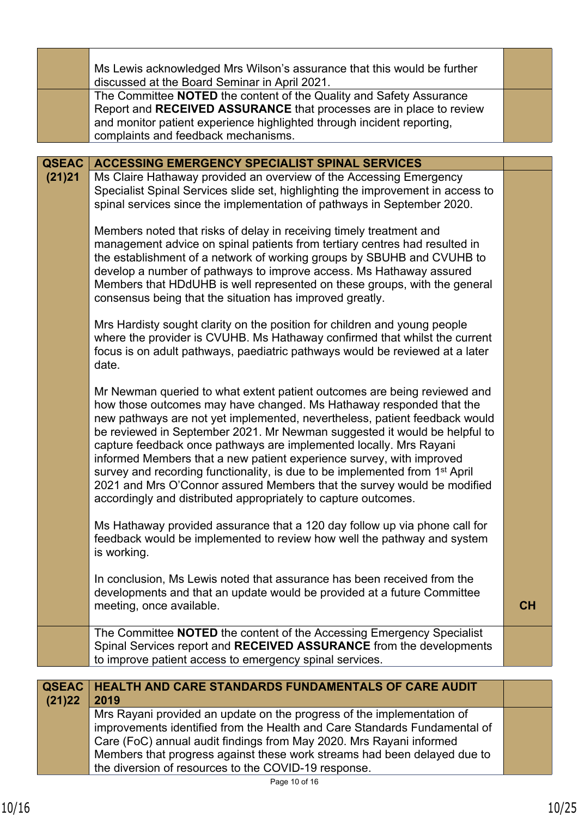|              | Ms Lewis acknowledged Mrs Wilson's assurance that this would be further<br>discussed at the Board Seminar in April 2021.                                                                                                                                                                                                                                                                                                                                                                                                                                                                                                                                                                         |    |
|--------------|--------------------------------------------------------------------------------------------------------------------------------------------------------------------------------------------------------------------------------------------------------------------------------------------------------------------------------------------------------------------------------------------------------------------------------------------------------------------------------------------------------------------------------------------------------------------------------------------------------------------------------------------------------------------------------------------------|----|
|              | The Committee NOTED the content of the Quality and Safety Assurance<br>Report and RECEIVED ASSURANCE that processes are in place to review<br>and monitor patient experience highlighted through incident reporting,<br>complaints and feedback mechanisms.                                                                                                                                                                                                                                                                                                                                                                                                                                      |    |
| <b>QSEAC</b> | <b>ACCESSING EMERGENCY SPECIALIST SPINAL SERVICES</b>                                                                                                                                                                                                                                                                                                                                                                                                                                                                                                                                                                                                                                            |    |
| (21)21       | Ms Claire Hathaway provided an overview of the Accessing Emergency<br>Specialist Spinal Services slide set, highlighting the improvement in access to<br>spinal services since the implementation of pathways in September 2020.                                                                                                                                                                                                                                                                                                                                                                                                                                                                 |    |
|              | Members noted that risks of delay in receiving timely treatment and<br>management advice on spinal patients from tertiary centres had resulted in<br>the establishment of a network of working groups by SBUHB and CVUHB to<br>develop a number of pathways to improve access. Ms Hathaway assured<br>Members that HDdUHB is well represented on these groups, with the general<br>consensus being that the situation has improved greatly.                                                                                                                                                                                                                                                      |    |
|              | Mrs Hardisty sought clarity on the position for children and young people<br>where the provider is CVUHB. Ms Hathaway confirmed that whilst the current<br>focus is on adult pathways, paediatric pathways would be reviewed at a later<br>date.                                                                                                                                                                                                                                                                                                                                                                                                                                                 |    |
|              | Mr Newman queried to what extent patient outcomes are being reviewed and<br>how those outcomes may have changed. Ms Hathaway responded that the<br>new pathways are not yet implemented, nevertheless, patient feedback would<br>be reviewed in September 2021. Mr Newman suggested it would be helpful to<br>capture feedback once pathways are implemented locally. Mrs Rayani<br>informed Members that a new patient experience survey, with improved<br>survey and recording functionality, is due to be implemented from 1 <sup>st</sup> April<br>2021 and Mrs O'Connor assured Members that the survey would be modified<br>accordingly and distributed appropriately to capture outcomes. |    |
|              | Ms Hathaway provided assurance that a 120 day follow up via phone call for<br>feedback would be implemented to review how well the pathway and system<br>is working.                                                                                                                                                                                                                                                                                                                                                                                                                                                                                                                             |    |
|              | In conclusion, Ms Lewis noted that assurance has been received from the<br>developments and that an update would be provided at a future Committee<br>meeting, once available.                                                                                                                                                                                                                                                                                                                                                                                                                                                                                                                   | CH |
|              | The Committee <b>NOTED</b> the content of the Accessing Emergency Specialist<br>Spinal Services report and RECEIVED ASSURANCE from the developments<br>to improve patient access to emergency spinal services.                                                                                                                                                                                                                                                                                                                                                                                                                                                                                   |    |
| <b>QSEAC</b> | <b>HEALTH AND CARE STANDARDS FUNDAMENTALS OF CARE AUDIT</b>                                                                                                                                                                                                                                                                                                                                                                                                                                                                                                                                                                                                                                      |    |
| (21)22       | 2019                                                                                                                                                                                                                                                                                                                                                                                                                                                                                                                                                                                                                                                                                             |    |
|              | Mrs Rayani provided an update on the progress of the implementation of<br>improvements identified from the Health and Care Standards Fundamental of<br>Care (FoC) annual audit findings from May 2020. Mrs Rayani informed<br>Members that progress against these work streams had been delayed due to<br>the diversion of resources to the COVID-19 response.                                                                                                                                                                                                                                                                                                                                   |    |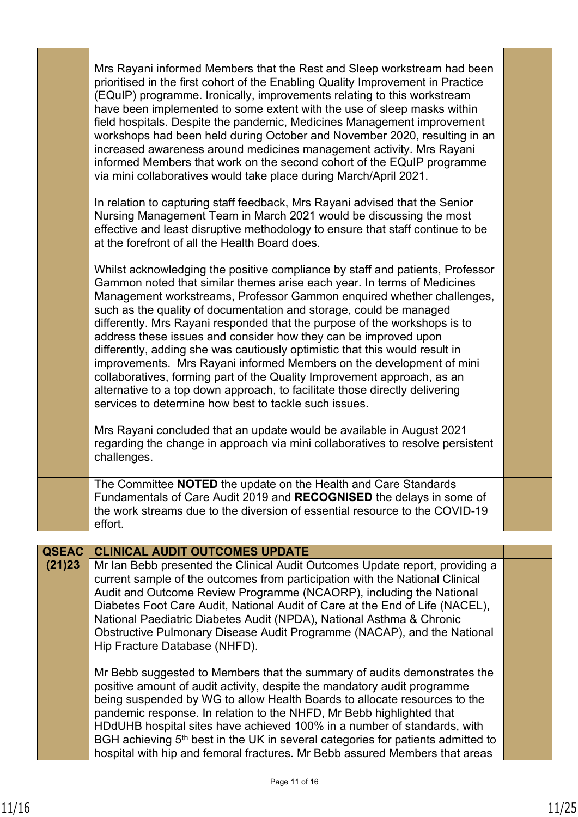|              | Mrs Rayani informed Members that the Rest and Sleep workstream had been<br>prioritised in the first cohort of the Enabling Quality Improvement in Practice<br>(EQuIP) programme. Ironically, improvements relating to this workstream<br>have been implemented to some extent with the use of sleep masks within<br>field hospitals. Despite the pandemic, Medicines Management improvement<br>workshops had been held during October and November 2020, resulting in an<br>increased awareness around medicines management activity. Mrs Rayani<br>informed Members that work on the second cohort of the EQuIP programme<br>via mini collaboratives would take place during March/April 2021.                                                                                                                                                                                                                                                                                              |  |
|--------------|----------------------------------------------------------------------------------------------------------------------------------------------------------------------------------------------------------------------------------------------------------------------------------------------------------------------------------------------------------------------------------------------------------------------------------------------------------------------------------------------------------------------------------------------------------------------------------------------------------------------------------------------------------------------------------------------------------------------------------------------------------------------------------------------------------------------------------------------------------------------------------------------------------------------------------------------------------------------------------------------|--|
|              | In relation to capturing staff feedback, Mrs Rayani advised that the Senior<br>Nursing Management Team in March 2021 would be discussing the most<br>effective and least disruptive methodology to ensure that staff continue to be<br>at the forefront of all the Health Board does.                                                                                                                                                                                                                                                                                                                                                                                                                                                                                                                                                                                                                                                                                                        |  |
|              | Whilst acknowledging the positive compliance by staff and patients, Professor<br>Gammon noted that similar themes arise each year. In terms of Medicines<br>Management workstreams, Professor Gammon enquired whether challenges,<br>such as the quality of documentation and storage, could be managed<br>differently. Mrs Rayani responded that the purpose of the workshops is to<br>address these issues and consider how they can be improved upon<br>differently, adding she was cautiously optimistic that this would result in<br>improvements. Mrs Rayani informed Members on the development of mini<br>collaboratives, forming part of the Quality Improvement approach, as an<br>alternative to a top down approach, to facilitate those directly delivering<br>services to determine how best to tackle such issues.<br>Mrs Rayani concluded that an update would be available in August 2021<br>regarding the change in approach via mini collaboratives to resolve persistent |  |
|              | challenges.                                                                                                                                                                                                                                                                                                                                                                                                                                                                                                                                                                                                                                                                                                                                                                                                                                                                                                                                                                                  |  |
|              | The Committee NOTED the update on the Health and Care Standards<br>Fundamentals of Care Audit 2019 and RECOGNISED the delays in some of<br>the work streams due to the diversion of essential resource to the COVID-19<br>effort.                                                                                                                                                                                                                                                                                                                                                                                                                                                                                                                                                                                                                                                                                                                                                            |  |
| <b>QSEAC</b> | <b>CLINICAL AUDIT OUTCOMES UPDATE</b>                                                                                                                                                                                                                                                                                                                                                                                                                                                                                                                                                                                                                                                                                                                                                                                                                                                                                                                                                        |  |
| (21)23       | Mr Ian Bebb presented the Clinical Audit Outcomes Update report, providing a<br>current sample of the outcomes from participation with the National Clinical<br>Audit and Outcome Review Programme (NCAORP), including the National<br>Diabetes Foot Care Audit, National Audit of Care at the End of Life (NACEL),<br>National Paediatric Diabetes Audit (NPDA), National Asthma & Chronic<br>Obstructive Pulmonary Disease Audit Programme (NACAP), and the National<br>Hip Fracture Database (NHFD).                                                                                                                                                                                                                                                                                                                                                                                                                                                                                      |  |
|              | Mr Bebb suggested to Members that the summary of audits demonstrates the<br>positive amount of audit activity, despite the mandatory audit programme<br>being suspended by WG to allow Health Boards to allocate resources to the<br>pandemic response. In relation to the NHFD, Mr Bebb highlighted that<br>HDdUHB hospital sites have achieved 100% in a number of standards, with<br>BGH achieving 5 <sup>th</sup> best in the UK in several categories for patients admitted to<br>hospital with hip and femoral fractures. Mr Bebb assured Members that areas                                                                                                                                                                                                                                                                                                                                                                                                                           |  |

٦

г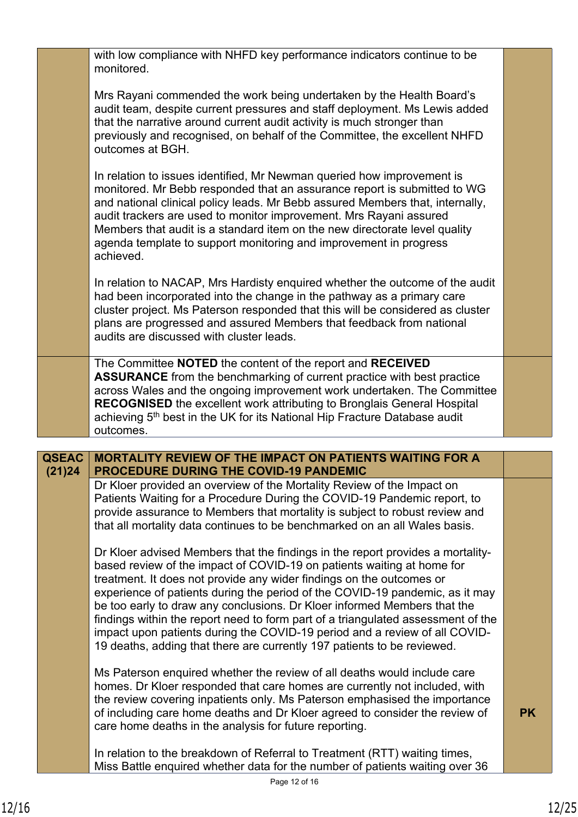|              | with low compliance with NHFD key performance indicators continue to be<br>monitored.                                                                                                                                                                                                                                                                                                                                                                                                                                                                                                                                                                                                                                                                                                                                                                                                                                                                                                                  |           |
|--------------|--------------------------------------------------------------------------------------------------------------------------------------------------------------------------------------------------------------------------------------------------------------------------------------------------------------------------------------------------------------------------------------------------------------------------------------------------------------------------------------------------------------------------------------------------------------------------------------------------------------------------------------------------------------------------------------------------------------------------------------------------------------------------------------------------------------------------------------------------------------------------------------------------------------------------------------------------------------------------------------------------------|-----------|
|              | Mrs Rayani commended the work being undertaken by the Health Board's<br>audit team, despite current pressures and staff deployment. Ms Lewis added<br>that the narrative around current audit activity is much stronger than<br>previously and recognised, on behalf of the Committee, the excellent NHFD<br>outcomes at BGH.                                                                                                                                                                                                                                                                                                                                                                                                                                                                                                                                                                                                                                                                          |           |
|              | In relation to issues identified, Mr Newman queried how improvement is<br>monitored. Mr Bebb responded that an assurance report is submitted to WG<br>and national clinical policy leads. Mr Bebb assured Members that, internally,<br>audit trackers are used to monitor improvement. Mrs Rayani assured<br>Members that audit is a standard item on the new directorate level quality<br>agenda template to support monitoring and improvement in progress<br>achieved.                                                                                                                                                                                                                                                                                                                                                                                                                                                                                                                              |           |
|              | In relation to NACAP, Mrs Hardisty enquired whether the outcome of the audit<br>had been incorporated into the change in the pathway as a primary care<br>cluster project. Ms Paterson responded that this will be considered as cluster<br>plans are progressed and assured Members that feedback from national<br>audits are discussed with cluster leads.                                                                                                                                                                                                                                                                                                                                                                                                                                                                                                                                                                                                                                           |           |
|              | The Committee NOTED the content of the report and RECEIVED<br><b>ASSURANCE</b> from the benchmarking of current practice with best practice<br>across Wales and the ongoing improvement work undertaken. The Committee<br><b>RECOGNISED</b> the excellent work attributing to Bronglais General Hospital<br>achieving 5 <sup>th</sup> best in the UK for its National Hip Fracture Database audit<br>outcomes.                                                                                                                                                                                                                                                                                                                                                                                                                                                                                                                                                                                         |           |
| <b>QSEAC</b> | <b>MORTALITY REVIEW OF THE IMPACT ON PATIENTS WAITING FOR A</b>                                                                                                                                                                                                                                                                                                                                                                                                                                                                                                                                                                                                                                                                                                                                                                                                                                                                                                                                        |           |
| (21)24       | PROCEDURE DURING THE COVID-19 PANDEMIC<br>Dr Kloer provided an overview of the Mortality Review of the Impact on<br>Patients Waiting for a Procedure During the COVID-19 Pandemic report, to<br>provide assurance to Members that mortality is subject to robust review and<br>that all mortality data continues to be benchmarked on an all Wales basis.<br>Dr Kloer advised Members that the findings in the report provides a mortality-<br>based review of the impact of COVID-19 on patients waiting at home for<br>treatment. It does not provide any wider findings on the outcomes or<br>experience of patients during the period of the COVID-19 pandemic, as it may<br>be too early to draw any conclusions. Dr Kloer informed Members that the<br>findings within the report need to form part of a triangulated assessment of the<br>impact upon patients during the COVID-19 period and a review of all COVID-<br>19 deaths, adding that there are currently 197 patients to be reviewed. |           |
|              |                                                                                                                                                                                                                                                                                                                                                                                                                                                                                                                                                                                                                                                                                                                                                                                                                                                                                                                                                                                                        |           |
|              | Ms Paterson enquired whether the review of all deaths would include care<br>homes. Dr Kloer responded that care homes are currently not included, with<br>the review covering inpatients only. Ms Paterson emphasised the importance<br>of including care home deaths and Dr Kloer agreed to consider the review of<br>care home deaths in the analysis for future reporting.                                                                                                                                                                                                                                                                                                                                                                                                                                                                                                                                                                                                                          | <b>PK</b> |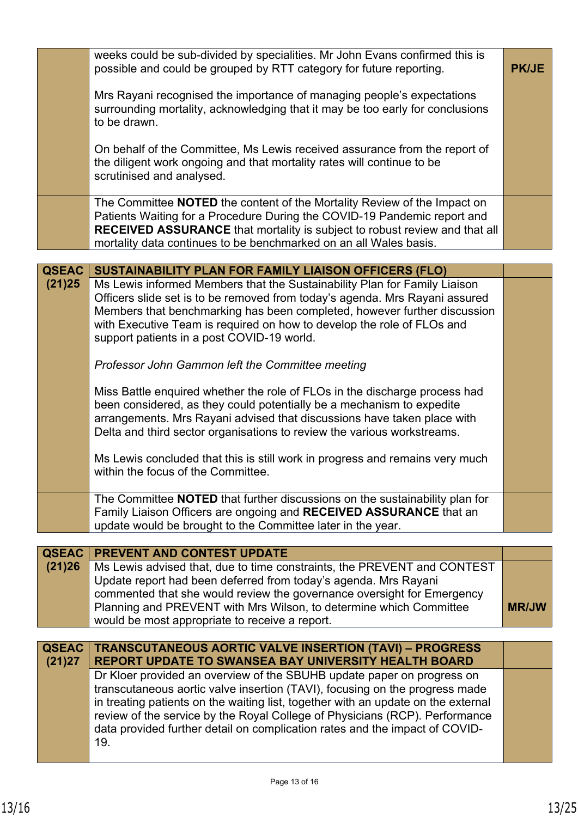| Mrs Rayani recognised the importance of managing people's expectations                                                                                                                                                                                                                                                                                                                                          |              |
|-----------------------------------------------------------------------------------------------------------------------------------------------------------------------------------------------------------------------------------------------------------------------------------------------------------------------------------------------------------------------------------------------------------------|--------------|
| surrounding mortality, acknowledging that it may be too early for conclusions<br>to be drawn.                                                                                                                                                                                                                                                                                                                   |              |
| On behalf of the Committee, Ms Lewis received assurance from the report of<br>the diligent work ongoing and that mortality rates will continue to be<br>scrutinised and analysed.                                                                                                                                                                                                                               |              |
| The Committee NOTED the content of the Mortality Review of the Impact on<br>Patients Waiting for a Procedure During the COVID-19 Pandemic report and<br>RECEIVED ASSURANCE that mortality is subject to robust review and that all<br>mortality data continues to be benchmarked on an all Wales basis.                                                                                                         |              |
| <b>QSEAC</b><br>SUSTAINABILITY PLAN FOR FAMILY LIAISON OFFICERS (FLO)                                                                                                                                                                                                                                                                                                                                           |              |
| Ms Lewis informed Members that the Sustainability Plan for Family Liaison<br>(21)25<br>Officers slide set is to be removed from today's agenda. Mrs Rayani assured<br>Members that benchmarking has been completed, however further discussion<br>with Executive Team is required on how to develop the role of FLOs and<br>support patients in a post COVID-19 world.                                          |              |
| Professor John Gammon left the Committee meeting                                                                                                                                                                                                                                                                                                                                                                |              |
| Miss Battle enquired whether the role of FLOs in the discharge process had<br>been considered, as they could potentially be a mechanism to expedite<br>arrangements. Mrs Rayani advised that discussions have taken place with<br>Delta and third sector organisations to review the various workstreams.                                                                                                       |              |
| Ms Lewis concluded that this is still work in progress and remains very much<br>within the focus of the Committee.                                                                                                                                                                                                                                                                                              |              |
| The Committee NOTED that further discussions on the sustainability plan for<br>Family Liaison Officers are ongoing and RECEIVED ASSURANCE that an<br>update would be brought to the Committee later in the year.                                                                                                                                                                                                |              |
| <b>QSEAC</b><br><b>PREVENT AND CONTEST UPDATE</b>                                                                                                                                                                                                                                                                                                                                                               |              |
| (21)26<br>Ms Lewis advised that, due to time constraints, the PREVENT and CONTEST<br>Update report had been deferred from today's agenda. Mrs Rayani<br>commented that she would review the governance oversight for Emergency<br>Planning and PREVENT with Mrs Wilson, to determine which Committee<br>would be most appropriate to receive a report.                                                          | <b>MR/JW</b> |
| <b>QSEAC</b><br><b>TRANSCUTANEOUS AORTIC VALVE INSERTION (TAVI) - PROGRESS</b><br>(21)27<br><b>REPORT UPDATE TO SWANSEA BAY UNIVERSITY HEALTH BOARD</b>                                                                                                                                                                                                                                                         |              |
| Dr Kloer provided an overview of the SBUHB update paper on progress on<br>transcutaneous aortic valve insertion (TAVI), focusing on the progress made<br>in treating patients on the waiting list, together with an update on the external<br>review of the service by the Royal College of Physicians (RCP). Performance<br>data provided further detail on complication rates and the impact of COVID-<br>19. |              |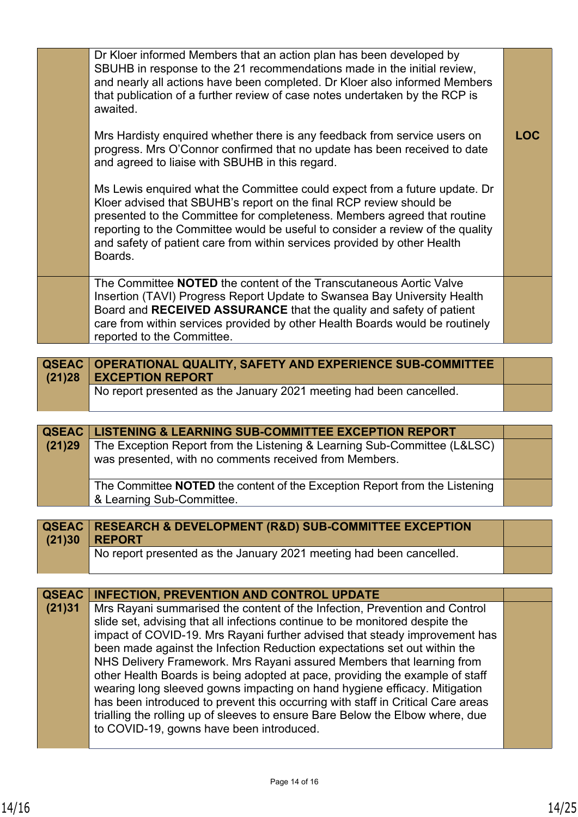| Dr Kloer informed Members that an action plan has been developed by<br>SBUHB in response to the 21 recommendations made in the initial review,<br>and nearly all actions have been completed. Dr Kloer also informed Members<br>that publication of a further review of case notes undertaken by the RCP is<br>awaited.                                                                                |            |
|--------------------------------------------------------------------------------------------------------------------------------------------------------------------------------------------------------------------------------------------------------------------------------------------------------------------------------------------------------------------------------------------------------|------------|
| Mrs Hardisty enquired whether there is any feedback from service users on<br>progress. Mrs O'Connor confirmed that no update has been received to date<br>and agreed to liaise with SBUHB in this regard.                                                                                                                                                                                              | <b>LOC</b> |
| Ms Lewis enquired what the Committee could expect from a future update. Dr<br>Kloer advised that SBUHB's report on the final RCP review should be<br>presented to the Committee for completeness. Members agreed that routine<br>reporting to the Committee would be useful to consider a review of the quality<br>and safety of patient care from within services provided by other Health<br>Boards. |            |
| The Committee <b>NOTED</b> the content of the Transcutaneous Aortic Valve<br>Insertion (TAVI) Progress Report Update to Swansea Bay University Health<br>Board and RECEIVED ASSURANCE that the quality and safety of patient<br>care from within services provided by other Health Boards would be routinely<br>reported to the Committee.                                                             |            |

| QSEAC   OPERATIONAL QUALITY, SAFETY AND EXPERIENCE SUB-COMMITTEE<br>$(21)28$ EXCEPTION REPORT |  |
|-----------------------------------------------------------------------------------------------|--|
| No report presented as the January 2021 meeting had been cancelled.                           |  |

|        | QSEAC   LISTENING & LEARNING SUB-COMMITTEE EXCEPTION REPORT                       |  |
|--------|-----------------------------------------------------------------------------------|--|
| (21)29 | The Exception Report from the Listening & Learning Sub-Committee (L&LSC)          |  |
|        | was presented, with no comments received from Members.                            |  |
|        |                                                                                   |  |
|        | The Committee <b>NOTED</b> the content of the Exception Report from the Listening |  |
|        | & Learning Sub-Committee.                                                         |  |

| <b>QSEAC   RESEARCH &amp; DEVELOPMENT (R&amp;D) SUB-COMMITTEE EXCEPTION</b> |  |
|-----------------------------------------------------------------------------|--|
| $(21)30$ REPORT                                                             |  |
| No report presented as the January 2021 meeting had been cancelled.         |  |

| <b>QSEAC</b> | <b>INFECTION, PREVENTION AND CONTROL UPDATE</b>                                 |  |
|--------------|---------------------------------------------------------------------------------|--|
| (21)31       | Mrs Rayani summarised the content of the Infection, Prevention and Control      |  |
|              | slide set, advising that all infections continue to be monitored despite the    |  |
|              | impact of COVID-19. Mrs Rayani further advised that steady improvement has      |  |
|              | been made against the Infection Reduction expectations set out within the       |  |
|              | NHS Delivery Framework. Mrs Rayani assured Members that learning from           |  |
|              | other Health Boards is being adopted at pace, providing the example of staff    |  |
|              | wearing long sleeved gowns impacting on hand hygiene efficacy. Mitigation       |  |
|              | has been introduced to prevent this occurring with staff in Critical Care areas |  |
|              | trialling the rolling up of sleeves to ensure Bare Below the Elbow where, due   |  |
|              | to COVID-19, gowns have been introduced.                                        |  |
|              |                                                                                 |  |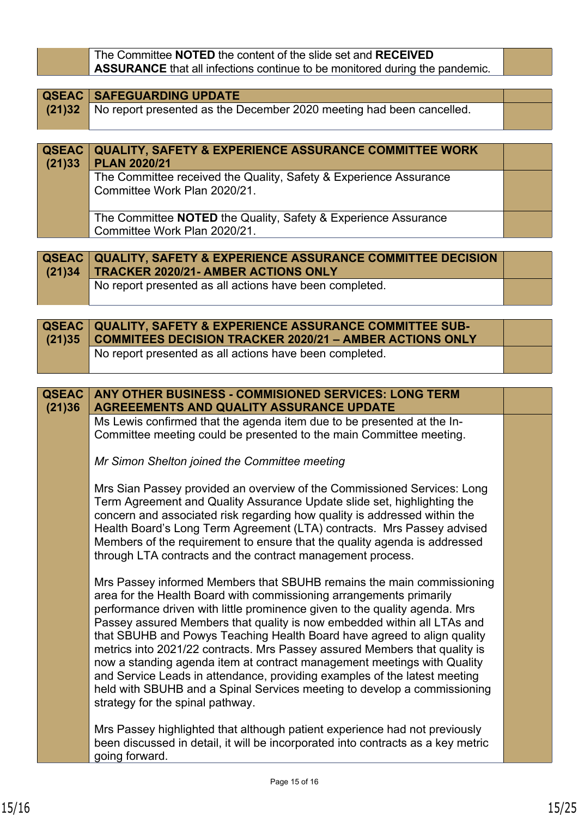The Committee **NOTED** the content of the slide set and **RECEIVED ASSURANCE** that all infections continue to be monitored during the pandemic.

| <b>QSEAC   SAFEGUARDING UPDATE</b>                                          |  |
|-----------------------------------------------------------------------------|--|
| (21)32 No report presented as the December 2020 meeting had been cancelled. |  |
|                                                                             |  |

| (21)33 | <b>QSEAC   QUALITY, SAFETY &amp; EXPERIENCE ASSURANCE COMMITTEE WORK</b><br><b>PLAN 2020/21</b>   |  |
|--------|---------------------------------------------------------------------------------------------------|--|
|        | The Committee received the Quality, Safety & Experience Assurance<br>Committee Work Plan 2020/21. |  |
|        | The Committee NOTED the Quality, Safety & Experience Assurance<br>Committee Work Plan 2020/21.    |  |

| <b>QSEAC QUALITY, SAFETY &amp; EXPERIENCE ASSURANCE COMMITTEE DECISION</b><br>$(21)34$ TRACKER 2020/21- AMBER ACTIONS ONLY |  |
|----------------------------------------------------------------------------------------------------------------------------|--|
| No report presented as all actions have been completed.                                                                    |  |

| <b>QSEAC   QUALITY, SAFETY &amp; EXPERIENCE ASSURANCE COMMITTEE SUB-</b><br>(21)35 COMMITEES DECISION TRACKER 2020/21 - AMBER ACTIONS ONLY |  |
|--------------------------------------------------------------------------------------------------------------------------------------------|--|
| No report presented as all actions have been completed.                                                                                    |  |

| <b>QSEAC</b><br>(21)36 | <b>ANY OTHER BUSINESS - COMMISIONED SERVICES: LONG TERM</b><br><b>AGREEEMENTS AND QUALITY ASSURANCE UPDATE</b>                                                                                                                                                                                                                                                                                                                                                                                                                                                                                                                                                                                                                         |  |
|------------------------|----------------------------------------------------------------------------------------------------------------------------------------------------------------------------------------------------------------------------------------------------------------------------------------------------------------------------------------------------------------------------------------------------------------------------------------------------------------------------------------------------------------------------------------------------------------------------------------------------------------------------------------------------------------------------------------------------------------------------------------|--|
|                        | Ms Lewis confirmed that the agenda item due to be presented at the In-<br>Committee meeting could be presented to the main Committee meeting.                                                                                                                                                                                                                                                                                                                                                                                                                                                                                                                                                                                          |  |
|                        | Mr Simon Shelton joined the Committee meeting                                                                                                                                                                                                                                                                                                                                                                                                                                                                                                                                                                                                                                                                                          |  |
|                        | Mrs Sian Passey provided an overview of the Commissioned Services: Long<br>Term Agreement and Quality Assurance Update slide set, highlighting the<br>concern and associated risk regarding how quality is addressed within the<br>Health Board's Long Term Agreement (LTA) contracts. Mrs Passey advised<br>Members of the requirement to ensure that the quality agenda is addressed<br>through LTA contracts and the contract management process.                                                                                                                                                                                                                                                                                   |  |
|                        | Mrs Passey informed Members that SBUHB remains the main commissioning<br>area for the Health Board with commissioning arrangements primarily<br>performance driven with little prominence given to the quality agenda. Mrs<br>Passey assured Members that quality is now embedded within all LTAs and<br>that SBUHB and Powys Teaching Health Board have agreed to align quality<br>metrics into 2021/22 contracts. Mrs Passey assured Members that quality is<br>now a standing agenda item at contract management meetings with Quality<br>and Service Leads in attendance, providing examples of the latest meeting<br>held with SBUHB and a Spinal Services meeting to develop a commissioning<br>strategy for the spinal pathway. |  |
|                        | Mrs Passey highlighted that although patient experience had not previously<br>been discussed in detail, it will be incorporated into contracts as a key metric<br>going forward.                                                                                                                                                                                                                                                                                                                                                                                                                                                                                                                                                       |  |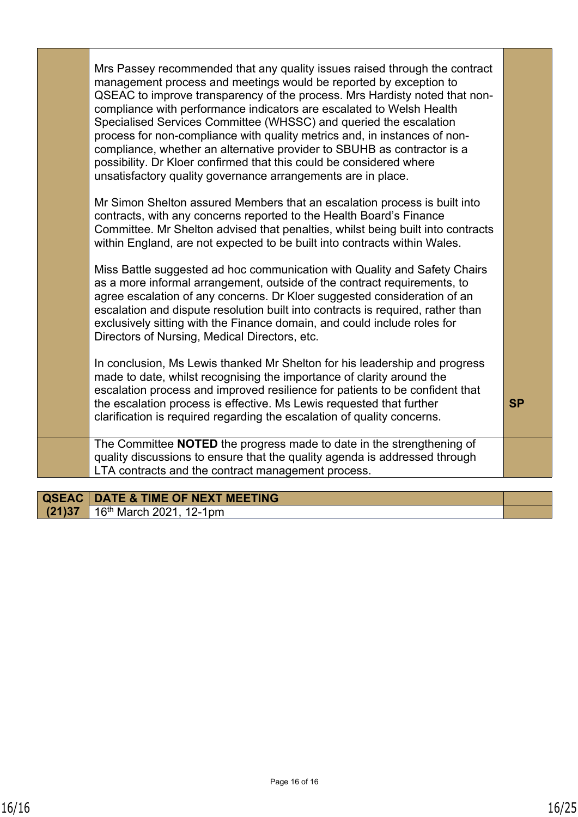| Mrs Passey recommended that any quality issues raised through the contract<br>management process and meetings would be reported by exception to<br>QSEAC to improve transparency of the process. Mrs Hardisty noted that non-<br>compliance with performance indicators are escalated to Welsh Health<br>Specialised Services Committee (WHSSC) and queried the escalation<br>process for non-compliance with quality metrics and, in instances of non-<br>compliance, whether an alternative provider to SBUHB as contractor is a<br>possibility. Dr Kloer confirmed that this could be considered where<br>unsatisfactory quality governance arrangements are in place. |           |
|---------------------------------------------------------------------------------------------------------------------------------------------------------------------------------------------------------------------------------------------------------------------------------------------------------------------------------------------------------------------------------------------------------------------------------------------------------------------------------------------------------------------------------------------------------------------------------------------------------------------------------------------------------------------------|-----------|
| Mr Simon Shelton assured Members that an escalation process is built into<br>contracts, with any concerns reported to the Health Board's Finance<br>Committee. Mr Shelton advised that penalties, whilst being built into contracts<br>within England, are not expected to be built into contracts within Wales.                                                                                                                                                                                                                                                                                                                                                          |           |
| Miss Battle suggested ad hoc communication with Quality and Safety Chairs<br>as a more informal arrangement, outside of the contract requirements, to<br>agree escalation of any concerns. Dr Kloer suggested consideration of an<br>escalation and dispute resolution built into contracts is required, rather than<br>exclusively sitting with the Finance domain, and could include roles for<br>Directors of Nursing, Medical Directors, etc.                                                                                                                                                                                                                         |           |
| In conclusion, Ms Lewis thanked Mr Shelton for his leadership and progress<br>made to date, whilst recognising the importance of clarity around the<br>escalation process and improved resilience for patients to be confident that<br>the escalation process is effective. Ms Lewis requested that further<br>clarification is required regarding the escalation of quality concerns.                                                                                                                                                                                                                                                                                    | <b>SP</b> |
| The Committee NOTED the progress made to date in the strengthening of<br>quality discussions to ensure that the quality agenda is addressed through<br>LTA contracts and the contract management process.                                                                                                                                                                                                                                                                                                                                                                                                                                                                 |           |
|                                                                                                                                                                                                                                                                                                                                                                                                                                                                                                                                                                                                                                                                           |           |

|        | <b>QSEAC   DATE &amp; TIME OF NEXT MEETING</b> |  |
|--------|------------------------------------------------|--|
| (21)37 | 16 <sup>th</sup> March 2021, 12-1pm            |  |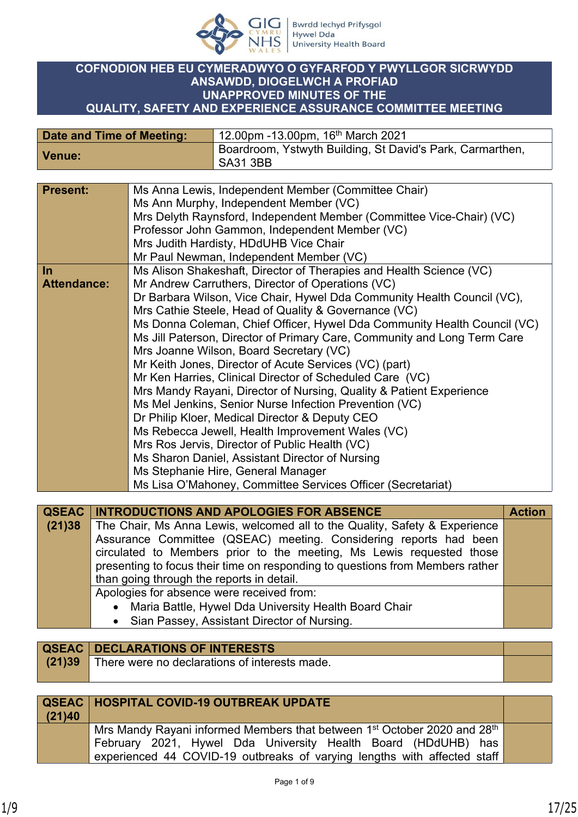

## **COFNODION HEB EU CYMERADWYO O GYFARFOD Y PWYLLGOR SICRWYDD ANSAWDD, DIOGELWCH A PROFIAD UNAPPROVED MINUTES OF THE QUALITY, SAFETY AND EXPERIENCE ASSURANCE COMMITTEE MEETING**

| Date and Time of Meeting: | 12.00pm -13.00pm, 16 <sup>th</sup> March 2021 <sup>'</sup>            |
|---------------------------|-----------------------------------------------------------------------|
| Venue:                    | Boardroom, Ystwyth Building, St David's Park, Carmarthen,<br>SA31 3BB |

| <b>Present:</b>    | Ms Anna Lewis, Independent Member (Committee Chair)                      |
|--------------------|--------------------------------------------------------------------------|
|                    | Ms Ann Murphy, Independent Member (VC)                                   |
|                    | Mrs Delyth Raynsford, Independent Member (Committee Vice-Chair) (VC)     |
|                    | Professor John Gammon, Independent Member (VC)                           |
|                    | Mrs Judith Hardisty, HDdUHB Vice Chair                                   |
|                    | Mr Paul Newman, Independent Member (VC)                                  |
| In                 | Ms Alison Shakeshaft, Director of Therapies and Health Science (VC)      |
| <b>Attendance:</b> |                                                                          |
|                    | Mr Andrew Carruthers, Director of Operations (VC)                        |
|                    | Dr Barbara Wilson, Vice Chair, Hywel Dda Community Health Council (VC),  |
|                    | Mrs Cathie Steele, Head of Quality & Governance (VC)                     |
|                    | Ms Donna Coleman, Chief Officer, Hywel Dda Community Health Council (VC) |
|                    | Ms Jill Paterson, Director of Primary Care, Community and Long Term Care |
|                    | Mrs Joanne Wilson, Board Secretary (VC)                                  |
|                    | Mr Keith Jones, Director of Acute Services (VC) (part)                   |
|                    | Mr Ken Harries, Clinical Director of Scheduled Care (VC)                 |
|                    | Mrs Mandy Rayani, Director of Nursing, Quality & Patient Experience      |
|                    | Ms Mel Jenkins, Senior Nurse Infection Prevention (VC)                   |
|                    | Dr Philip Kloer, Medical Director & Deputy CEO                           |
|                    | Ms Rebecca Jewell, Health Improvement Wales (VC)                         |
|                    | Mrs Ros Jervis, Director of Public Health (VC)                           |
|                    | Ms Sharon Daniel, Assistant Director of Nursing                          |
|                    |                                                                          |
|                    | Ms Stephanie Hire, General Manager                                       |
|                    | Ms Lisa O'Mahoney, Committee Services Officer (Secretariat)              |
|                    |                                                                          |

|        | <b>QSEAC   INTRODUCTIONS AND APOLOGIES FOR ABSENCE</b>                        | <b>Action</b> |
|--------|-------------------------------------------------------------------------------|---------------|
| (21)38 | The Chair, Ms Anna Lewis, welcomed all to the Quality, Safety & Experience    |               |
|        | Assurance Committee (QSEAC) meeting. Considering reports had been             |               |
|        | circulated to Members prior to the meeting, Ms Lewis requested those          |               |
|        | presenting to focus their time on responding to questions from Members rather |               |
|        | than going through the reports in detail.                                     |               |
|        | Apologies for absence were received from:                                     |               |
|        | • Maria Battle, Hywel Dda University Health Board Chair                       |               |
|        | • Sian Passey, Assistant Director of Nursing.                                 |               |

|        | <b>QSEAC   DECLARATIONS OF INTERESTS</b>      |  |
|--------|-----------------------------------------------|--|
| (21)39 | There were no declarations of interests made. |  |
|        |                                               |  |

| (21)40 | <b>QSEAC   HOSPITAL COVID-19 OUTBREAK UPDATE</b>                                                                                                                                                                                              |  |
|--------|-----------------------------------------------------------------------------------------------------------------------------------------------------------------------------------------------------------------------------------------------|--|
|        | $^\text{!}$ Mrs Mandy Rayani informed Members that between 1st October 2020 and 28th $_\text{!}$<br>February 2021, Hywel Dda University Health Board (HDdUHB) has<br>experienced 44 COVID-19 outbreaks of varying lengths with affected staff |  |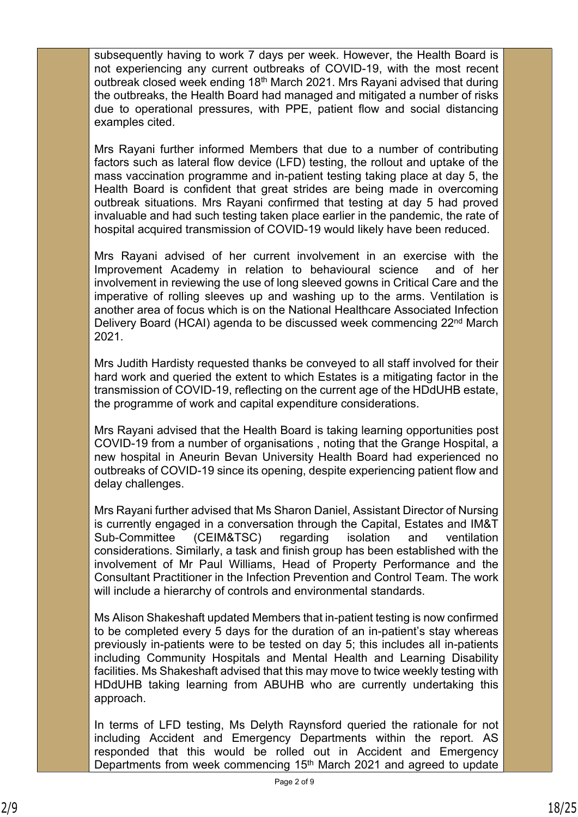subsequently having to work 7 days per week. However, the Health Board is not experiencing any current outbreaks of COVID-19, with the most recent outbreak closed week ending 18th March 2021. Mrs Rayani advised that during the outbreaks, the Health Board had managed and mitigated a number of risks due to operational pressures, with PPE, patient flow and social distancing examples cited.

Mrs Rayani further informed Members that due to a number of contributing factors such as lateral flow device (LFD) testing, the rollout and uptake of the mass vaccination programme and in-patient testing taking place at day 5, the Health Board is confident that great strides are being made in overcoming outbreak situations. Mrs Rayani confirmed that testing at day 5 had proved invaluable and had such testing taken place earlier in the pandemic, the rate of hospital acquired transmission of COVID-19 would likely have been reduced.

Mrs Rayani advised of her current involvement in an exercise with the Improvement Academy in relation to behavioural science and of her involvement in reviewing the use of long sleeved gowns in Critical Care and the imperative of rolling sleeves up and washing up to the arms. Ventilation is another area of focus which is on the National Healthcare Associated Infection Delivery Board (HCAI) agenda to be discussed week commencing 22nd March 2021.

Mrs Judith Hardisty requested thanks be conveyed to all staff involved for their hard work and queried the extent to which Estates is a mitigating factor in the transmission of COVID-19, reflecting on the current age of the HDdUHB estate, the programme of work and capital expenditure considerations.

Mrs Rayani advised that the Health Board is taking learning opportunities post COVID-19 from a number of organisations , noting that the Grange Hospital, a new hospital in Aneurin Bevan University Health Board had experienced no outbreaks of COVID-19 since its opening, despite experiencing patient flow and delay challenges.

Mrs Rayani further advised that Ms Sharon Daniel, Assistant Director of Nursing is currently engaged in a conversation through the Capital, Estates and IM&T Sub-Committee (CEIM&TSC) regarding isolation and ventilation considerations. Similarly, a task and finish group has been established with the involvement of Mr Paul Williams, Head of Property Performance and the Consultant Practitioner in the Infection Prevention and Control Team. The work will include a hierarchy of controls and environmental standards.

Ms Alison Shakeshaft updated Members that in-patient testing is now confirmed to be completed every 5 days for the duration of an in-patient's stay whereas previously in-patients were to be tested on day 5; this includes all in-patients including Community Hospitals and Mental Health and Learning Disability facilities. Ms Shakeshaft advised that this may move to twice weekly testing with HDdUHB taking learning from ABUHB who are currently undertaking this approach.

In terms of LFD testing, Ms Delyth Raynsford queried the rationale for not including Accident and Emergency Departments within the report. AS responded that this would be rolled out in Accident and Emergency Departments from week commencing 15<sup>th</sup> March 2021 and agreed to update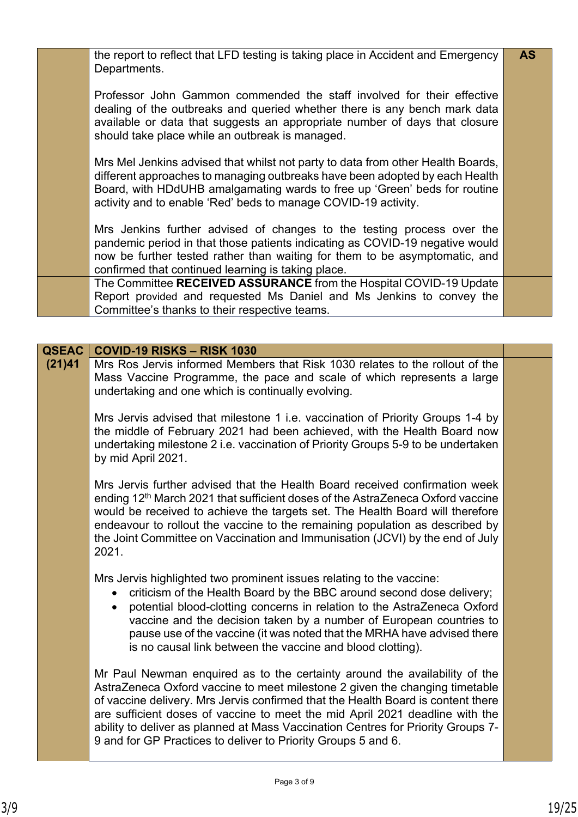| the report to reflect that LFD testing is taking place in Accident and Emergency<br>Departments.                                                                                                                                                                                                              | <b>AS</b> |
|---------------------------------------------------------------------------------------------------------------------------------------------------------------------------------------------------------------------------------------------------------------------------------------------------------------|-----------|
| Professor John Gammon commended the staff involved for their effective<br>dealing of the outbreaks and queried whether there is any bench mark data<br>available or data that suggests an appropriate number of days that closure<br>should take place while an outbreak is managed.                          |           |
| Mrs Mel Jenkins advised that whilst not party to data from other Health Boards,<br>different approaches to managing outbreaks have been adopted by each Health<br>Board, with HDdUHB amalgamating wards to free up 'Green' beds for routine<br>activity and to enable 'Red' beds to manage COVID-19 activity. |           |
| Mrs Jenkins further advised of changes to the testing process over the<br>pandemic period in that those patients indicating as COVID-19 negative would<br>now be further tested rather than waiting for them to be asymptomatic, and<br>confirmed that continued learning is taking place.                    |           |
| The Committee RECEIVED ASSURANCE from the Hospital COVID-19 Update<br>Report provided and requested Ms Daniel and Ms Jenkins to convey the<br>Committee's thanks to their respective teams.                                                                                                                   |           |

| <b>QSEAC</b> | <b>COVID-19 RISKS - RISK 1030</b>                                                                                                                                                                                                                                                                                                                                                                                                                                                  |  |
|--------------|------------------------------------------------------------------------------------------------------------------------------------------------------------------------------------------------------------------------------------------------------------------------------------------------------------------------------------------------------------------------------------------------------------------------------------------------------------------------------------|--|
| (21)41       | Mrs Ros Jervis informed Members that Risk 1030 relates to the rollout of the<br>Mass Vaccine Programme, the pace and scale of which represents a large<br>undertaking and one which is continually evolving.                                                                                                                                                                                                                                                                       |  |
|              | Mrs Jervis advised that milestone 1 i.e. vaccination of Priority Groups 1-4 by<br>the middle of February 2021 had been achieved, with the Health Board now<br>undertaking milestone 2 i.e. vaccination of Priority Groups 5-9 to be undertaken<br>by mid April 2021.                                                                                                                                                                                                               |  |
|              | Mrs Jervis further advised that the Health Board received confirmation week<br>ending 12 <sup>th</sup> March 2021 that sufficient doses of the AstraZeneca Oxford vaccine<br>would be received to achieve the targets set. The Health Board will therefore<br>endeavour to rollout the vaccine to the remaining population as described by<br>the Joint Committee on Vaccination and Immunisation (JCVI) by the end of July<br>2021.                                               |  |
|              | Mrs Jervis highlighted two prominent issues relating to the vaccine:<br>criticism of the Health Board by the BBC around second dose delivery;<br>potential blood-clotting concerns in relation to the AstraZeneca Oxford<br>$\bullet$<br>vaccine and the decision taken by a number of European countries to<br>pause use of the vaccine (it was noted that the MRHA have advised there<br>is no causal link between the vaccine and blood clotting).                              |  |
|              | Mr Paul Newman enquired as to the certainty around the availability of the<br>AstraZeneca Oxford vaccine to meet milestone 2 given the changing timetable<br>of vaccine delivery. Mrs Jervis confirmed that the Health Board is content there<br>are sufficient doses of vaccine to meet the mid April 2021 deadline with the<br>ability to deliver as planned at Mass Vaccination Centres for Priority Groups 7-<br>9 and for GP Practices to deliver to Priority Groups 5 and 6. |  |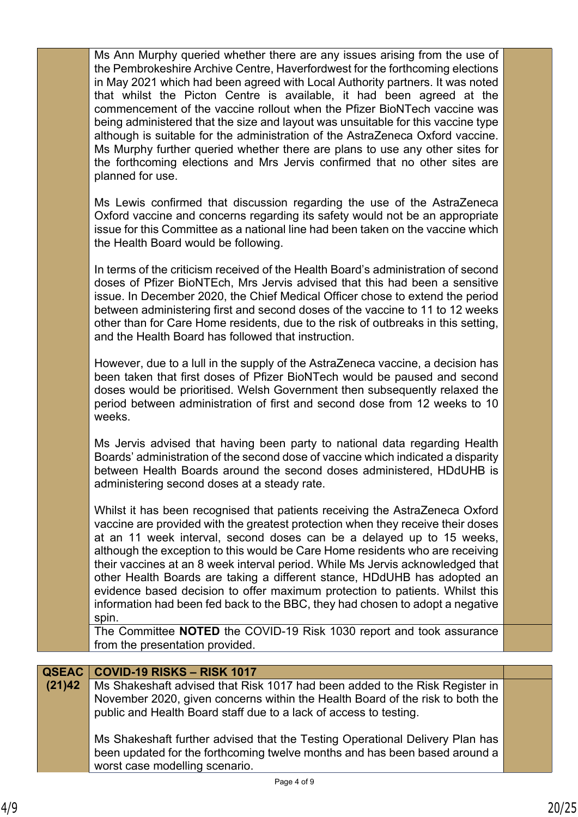|              | the Pembrokeshire Archive Centre, Haverfordwest for the forthcoming elections<br>in May 2021 which had been agreed with Local Authority partners. It was noted<br>that whilst the Picton Centre is available, it had been agreed at the<br>commencement of the vaccine rollout when the Pfizer BioNTech vaccine was<br>being administered that the size and layout was unsuitable for this vaccine type<br>although is suitable for the administration of the AstraZeneca Oxford vaccine.<br>Ms Murphy further queried whether there are plans to use any other sites for<br>the forthcoming elections and Mrs Jervis confirmed that no other sites are<br>planned for use.<br>Ms Lewis confirmed that discussion regarding the use of the AstraZeneca<br>Oxford vaccine and concerns regarding its safety would not be an appropriate<br>issue for this Committee as a national line had been taken on the vaccine which<br>the Health Board would be following.<br>In terms of the criticism received of the Health Board's administration of second<br>doses of Pfizer BioNTEch, Mrs Jervis advised that this had been a sensitive<br>issue. In December 2020, the Chief Medical Officer chose to extend the period<br>between administering first and second doses of the vaccine to 11 to 12 weeks<br>other than for Care Home residents, due to the risk of outbreaks in this setting,<br>and the Health Board has followed that instruction.<br>However, due to a lull in the supply of the AstraZeneca vaccine, a decision has<br>been taken that first doses of Pfizer BioNTech would be paused and second<br>doses would be prioritised. Welsh Government then subsequently relaxed the<br>period between administration of first and second dose from 12 weeks to 10<br>weeks.<br>Ms Jervis advised that having been party to national data regarding Health<br>Boards' administration of the second dose of vaccine which indicated a disparity<br>between Health Boards around the second doses administered, HDdUHB is<br>administering second doses at a steady rate.<br>Whilst it has been recognised that patients receiving the AstraZeneca Oxford<br>vaccine are provided with the greatest protection when they receive their doses |  |
|--------------|---------------------------------------------------------------------------------------------------------------------------------------------------------------------------------------------------------------------------------------------------------------------------------------------------------------------------------------------------------------------------------------------------------------------------------------------------------------------------------------------------------------------------------------------------------------------------------------------------------------------------------------------------------------------------------------------------------------------------------------------------------------------------------------------------------------------------------------------------------------------------------------------------------------------------------------------------------------------------------------------------------------------------------------------------------------------------------------------------------------------------------------------------------------------------------------------------------------------------------------------------------------------------------------------------------------------------------------------------------------------------------------------------------------------------------------------------------------------------------------------------------------------------------------------------------------------------------------------------------------------------------------------------------------------------------------------------------------------------------------------------------------------------------------------------------------------------------------------------------------------------------------------------------------------------------------------------------------------------------------------------------------------------------------------------------------------------------------------------------------------------------------------------------------------------------------------------------------------------------------------------------|--|
|              | at an 11 week interval, second doses can be a delayed up to 15 weeks,<br>although the exception to this would be Care Home residents who are receiving<br>their vaccines at an 8 week interval period. While Ms Jervis acknowledged that<br>other Health Boards are taking a different stance, HDdUHB has adopted an<br>evidence based decision to offer maximum protection to patients. Whilst this<br>information had been fed back to the BBC, they had chosen to adopt a negative<br>spin.                                                                                                                                                                                                                                                                                                                                                                                                                                                                                                                                                                                                                                                                                                                                                                                                                                                                                                                                                                                                                                                                                                                                                                                                                                                                                                                                                                                                                                                                                                                                                                                                                                                                                                                                                          |  |
|              | The Committee NOTED the COVID-19 Risk 1030 report and took assurance<br>from the presentation provided.                                                                                                                                                                                                                                                                                                                                                                                                                                                                                                                                                                                                                                                                                                                                                                                                                                                                                                                                                                                                                                                                                                                                                                                                                                                                                                                                                                                                                                                                                                                                                                                                                                                                                                                                                                                                                                                                                                                                                                                                                                                                                                                                                 |  |
|              |                                                                                                                                                                                                                                                                                                                                                                                                                                                                                                                                                                                                                                                                                                                                                                                                                                                                                                                                                                                                                                                                                                                                                                                                                                                                                                                                                                                                                                                                                                                                                                                                                                                                                                                                                                                                                                                                                                                                                                                                                                                                                                                                                                                                                                                         |  |
| <b>QSEAC</b> | COVID-19 RISKS - RISK 1017                                                                                                                                                                                                                                                                                                                                                                                                                                                                                                                                                                                                                                                                                                                                                                                                                                                                                                                                                                                                                                                                                                                                                                                                                                                                                                                                                                                                                                                                                                                                                                                                                                                                                                                                                                                                                                                                                                                                                                                                                                                                                                                                                                                                                              |  |
| (21)42       | Ms Shakeshaft advised that Risk 1017 had been added to the Risk Register in<br>November 2020, given concerns within the Health Board of the risk to both the<br>public and Health Board staff due to a lack of access to testing.                                                                                                                                                                                                                                                                                                                                                                                                                                                                                                                                                                                                                                                                                                                                                                                                                                                                                                                                                                                                                                                                                                                                                                                                                                                                                                                                                                                                                                                                                                                                                                                                                                                                                                                                                                                                                                                                                                                                                                                                                       |  |
|              | Ms Shakeshaft further advised that the Testing Operational Delivery Plan has<br>been updated for the forthcoming twelve months and has been based around a<br>worst case modelling scenario.                                                                                                                                                                                                                                                                                                                                                                                                                                                                                                                                                                                                                                                                                                                                                                                                                                                                                                                                                                                                                                                                                                                                                                                                                                                                                                                                                                                                                                                                                                                                                                                                                                                                                                                                                                                                                                                                                                                                                                                                                                                            |  |
|              | Page 4 of 9                                                                                                                                                                                                                                                                                                                                                                                                                                                                                                                                                                                                                                                                                                                                                                                                                                                                                                                                                                                                                                                                                                                                                                                                                                                                                                                                                                                                                                                                                                                                                                                                                                                                                                                                                                                                                                                                                                                                                                                                                                                                                                                                                                                                                                             |  |
|              |                                                                                                                                                                                                                                                                                                                                                                                                                                                                                                                                                                                                                                                                                                                                                                                                                                                                                                                                                                                                                                                                                                                                                                                                                                                                                                                                                                                                                                                                                                                                                                                                                                                                                                                                                                                                                                                                                                                                                                                                                                                                                                                                                                                                                                                         |  |

Ms Ann Murphy queried whether there are any issues arising from the use of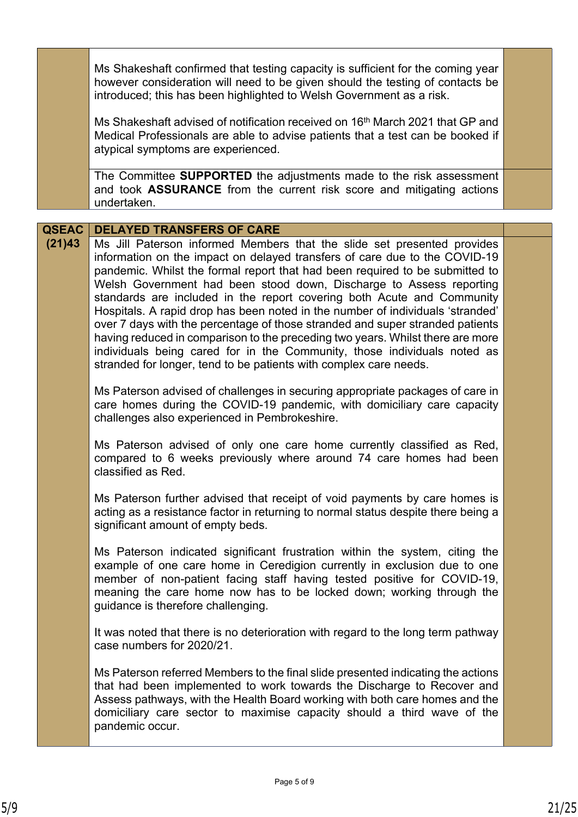|              | Ms Shakeshaft confirmed that testing capacity is sufficient for the coming year<br>however consideration will need to be given should the testing of contacts be<br>introduced; this has been highlighted to Welsh Government as a risk.                                                                                                                                                                                                                                                                                                                                                                                                                                                                                                                                                     |  |
|--------------|----------------------------------------------------------------------------------------------------------------------------------------------------------------------------------------------------------------------------------------------------------------------------------------------------------------------------------------------------------------------------------------------------------------------------------------------------------------------------------------------------------------------------------------------------------------------------------------------------------------------------------------------------------------------------------------------------------------------------------------------------------------------------------------------|--|
|              | Ms Shakeshaft advised of notification received on 16 <sup>th</sup> March 2021 that GP and<br>Medical Professionals are able to advise patients that a test can be booked if<br>atypical symptoms are experienced.                                                                                                                                                                                                                                                                                                                                                                                                                                                                                                                                                                            |  |
|              | The Committee SUPPORTED the adjustments made to the risk assessment<br>and took <b>ASSURANCE</b> from the current risk score and mitigating actions<br>undertaken.                                                                                                                                                                                                                                                                                                                                                                                                                                                                                                                                                                                                                           |  |
|              |                                                                                                                                                                                                                                                                                                                                                                                                                                                                                                                                                                                                                                                                                                                                                                                              |  |
| <b>QSEAC</b> | <b>DELAYED TRANSFERS OF CARE</b>                                                                                                                                                                                                                                                                                                                                                                                                                                                                                                                                                                                                                                                                                                                                                             |  |
| (21)43       | Ms Jill Paterson informed Members that the slide set presented provides<br>information on the impact on delayed transfers of care due to the COVID-19<br>pandemic. Whilst the formal report that had been required to be submitted to<br>Welsh Government had been stood down, Discharge to Assess reporting<br>standards are included in the report covering both Acute and Community<br>Hospitals. A rapid drop has been noted in the number of individuals 'stranded'<br>over 7 days with the percentage of those stranded and super stranded patients<br>having reduced in comparison to the preceding two years. Whilst there are more<br>individuals being cared for in the Community, those individuals noted as<br>stranded for longer, tend to be patients with complex care needs. |  |
|              | Ms Paterson advised of challenges in securing appropriate packages of care in<br>care homes during the COVID-19 pandemic, with domiciliary care capacity<br>challenges also experienced in Pembrokeshire.                                                                                                                                                                                                                                                                                                                                                                                                                                                                                                                                                                                    |  |
|              | Ms Paterson advised of only one care home currently classified as Red,<br>compared to 6 weeks previously where around 74 care homes had been<br>classified as Red.                                                                                                                                                                                                                                                                                                                                                                                                                                                                                                                                                                                                                           |  |
|              | Ms Paterson further advised that receipt of void payments by care homes is<br>acting as a resistance factor in returning to normal status despite there being a<br>significant amount of empty beds.                                                                                                                                                                                                                                                                                                                                                                                                                                                                                                                                                                                         |  |
|              | Ms Paterson indicated significant frustration within the system, citing the<br>example of one care home in Ceredigion currently in exclusion due to one<br>member of non-patient facing staff having tested positive for COVID-19,<br>meaning the care home now has to be locked down; working through the<br>guidance is therefore challenging.                                                                                                                                                                                                                                                                                                                                                                                                                                             |  |
|              | It was noted that there is no deterioration with regard to the long term pathway<br>case numbers for 2020/21.                                                                                                                                                                                                                                                                                                                                                                                                                                                                                                                                                                                                                                                                                |  |
|              | Ms Paterson referred Members to the final slide presented indicating the actions<br>that had been implemented to work towards the Discharge to Recover and<br>Assess pathways, with the Health Board working with both care homes and the<br>domiciliary care sector to maximise capacity should a third wave of the<br>pandemic occur.                                                                                                                                                                                                                                                                                                                                                                                                                                                      |  |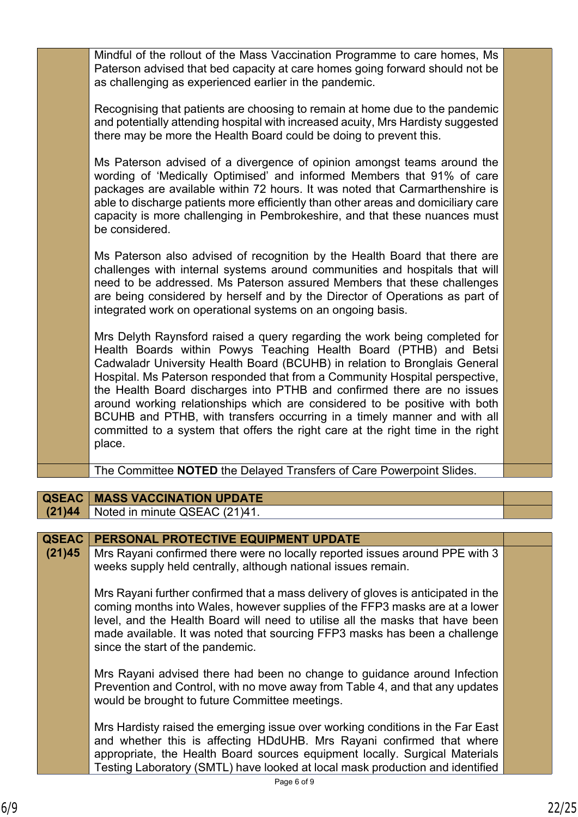|                        | Mindful of the rollout of the Mass Vaccination Programme to care homes, Ms<br>Paterson advised that bed capacity at care homes going forward should not be<br>as challenging as experienced earlier in the pandemic.                                                                                                                                                                                                                                                                                                                                                                                                                           |  |
|------------------------|------------------------------------------------------------------------------------------------------------------------------------------------------------------------------------------------------------------------------------------------------------------------------------------------------------------------------------------------------------------------------------------------------------------------------------------------------------------------------------------------------------------------------------------------------------------------------------------------------------------------------------------------|--|
|                        | Recognising that patients are choosing to remain at home due to the pandemic<br>and potentially attending hospital with increased acuity, Mrs Hardisty suggested<br>there may be more the Health Board could be doing to prevent this.                                                                                                                                                                                                                                                                                                                                                                                                         |  |
|                        | Ms Paterson advised of a divergence of opinion amongst teams around the<br>wording of 'Medically Optimised' and informed Members that 91% of care<br>packages are available within 72 hours. It was noted that Carmarthenshire is<br>able to discharge patients more efficiently than other areas and domiciliary care<br>capacity is more challenging in Pembrokeshire, and that these nuances must<br>be considered.                                                                                                                                                                                                                         |  |
|                        | Ms Paterson also advised of recognition by the Health Board that there are<br>challenges with internal systems around communities and hospitals that will<br>need to be addressed. Ms Paterson assured Members that these challenges<br>are being considered by herself and by the Director of Operations as part of<br>integrated work on operational systems on an ongoing basis.                                                                                                                                                                                                                                                            |  |
|                        | Mrs Delyth Raynsford raised a query regarding the work being completed for<br>Health Boards within Powys Teaching Health Board (PTHB) and Betsi<br>Cadwaladr University Health Board (BCUHB) in relation to Bronglais General<br>Hospital. Ms Paterson responded that from a Community Hospital perspective,<br>the Health Board discharges into PTHB and confirmed there are no issues<br>around working relationships which are considered to be positive with both<br>BCUHB and PTHB, with transfers occurring in a timely manner and with all<br>committed to a system that offers the right care at the right time in the right<br>place. |  |
|                        | The Committee NOTED the Delayed Transfers of Care Powerpoint Slides.                                                                                                                                                                                                                                                                                                                                                                                                                                                                                                                                                                           |  |
|                        |                                                                                                                                                                                                                                                                                                                                                                                                                                                                                                                                                                                                                                                |  |
| <b>QSEAC</b><br>(21)44 | <b>MASS VACCINATION UPDATE</b><br>Noted in minute QSEAC (21)41.                                                                                                                                                                                                                                                                                                                                                                                                                                                                                                                                                                                |  |
|                        |                                                                                                                                                                                                                                                                                                                                                                                                                                                                                                                                                                                                                                                |  |
| <b>QSEAC</b>           | PERSONAL PROTECTIVE EQUIPMENT UPDATE                                                                                                                                                                                                                                                                                                                                                                                                                                                                                                                                                                                                           |  |
| (21)45                 | Mrs Rayani confirmed there were no locally reported issues around PPE with 3<br>weeks supply held centrally, although national issues remain.                                                                                                                                                                                                                                                                                                                                                                                                                                                                                                  |  |
|                        | Mrs Rayani further confirmed that a mass delivery of gloves is anticipated in the<br>coming months into Wales, however supplies of the FFP3 masks are at a lower<br>level, and the Health Board will need to utilise all the masks that have been<br>made available. It was noted that sourcing FFP3 masks has been a challenge<br>since the start of the pandemic.                                                                                                                                                                                                                                                                            |  |
|                        | Mrs Rayani advised there had been no change to guidance around Infection<br>Prevention and Control, with no move away from Table 4, and that any updates<br>would be brought to future Committee meetings.                                                                                                                                                                                                                                                                                                                                                                                                                                     |  |
|                        | Mrs Hardisty raised the emerging issue over working conditions in the Far East<br>and whether this is affecting HDdUHB. Mrs Rayani confirmed that where<br>appropriate, the Health Board sources equipment locally. Surgical Materials<br>Testing Laboratory (SMTL) have looked at local mask production and identified                                                                                                                                                                                                                                                                                                                        |  |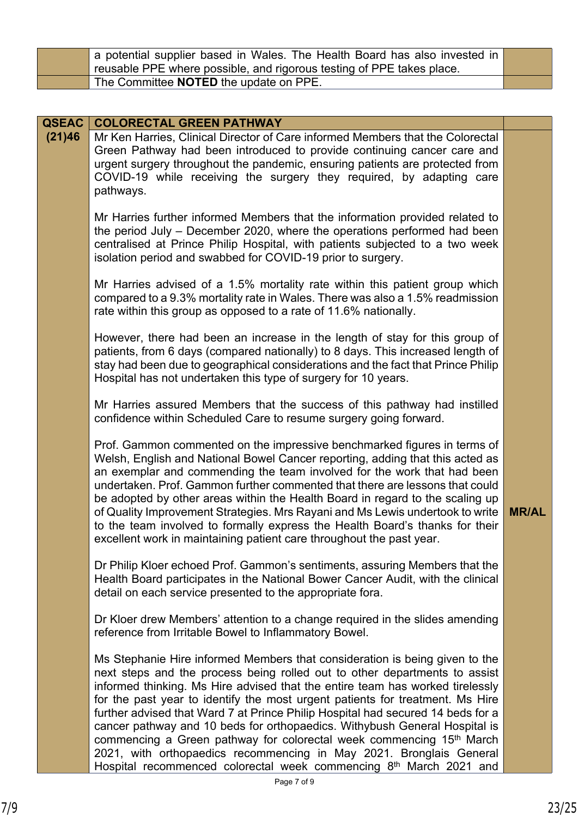| a potential supplier based in Wales. The Health Board has also invested in |  |
|----------------------------------------------------------------------------|--|
| reusable PPE where possible, and rigorous testing of PPE takes place.      |  |
| The Committee <b>NOTED</b> the update on PPE.                              |  |

| <b>QSEAC</b> | <b>COLORECTAL GREEN PATHWAY</b>                                                                                                                                                                                                                                                                                                                                                                                                                                                                                                                                                                                                                                                                                                                          |              |
|--------------|----------------------------------------------------------------------------------------------------------------------------------------------------------------------------------------------------------------------------------------------------------------------------------------------------------------------------------------------------------------------------------------------------------------------------------------------------------------------------------------------------------------------------------------------------------------------------------------------------------------------------------------------------------------------------------------------------------------------------------------------------------|--------------|
| (21)46       | Mr Ken Harries, Clinical Director of Care informed Members that the Colorectal<br>Green Pathway had been introduced to provide continuing cancer care and<br>urgent surgery throughout the pandemic, ensuring patients are protected from<br>COVID-19 while receiving the surgery they required, by adapting care<br>pathways.                                                                                                                                                                                                                                                                                                                                                                                                                           |              |
|              | Mr Harries further informed Members that the information provided related to<br>the period July – December 2020, where the operations performed had been<br>centralised at Prince Philip Hospital, with patients subjected to a two week<br>isolation period and swabbed for COVID-19 prior to surgery.                                                                                                                                                                                                                                                                                                                                                                                                                                                  |              |
|              | Mr Harries advised of a 1.5% mortality rate within this patient group which<br>compared to a 9.3% mortality rate in Wales. There was also a 1.5% readmission<br>rate within this group as opposed to a rate of 11.6% nationally.                                                                                                                                                                                                                                                                                                                                                                                                                                                                                                                         |              |
|              | However, there had been an increase in the length of stay for this group of<br>patients, from 6 days (compared nationally) to 8 days. This increased length of<br>stay had been due to geographical considerations and the fact that Prince Philip<br>Hospital has not undertaken this type of surgery for 10 years.                                                                                                                                                                                                                                                                                                                                                                                                                                     |              |
|              | Mr Harries assured Members that the success of this pathway had instilled<br>confidence within Scheduled Care to resume surgery going forward.                                                                                                                                                                                                                                                                                                                                                                                                                                                                                                                                                                                                           |              |
|              | Prof. Gammon commented on the impressive benchmarked figures in terms of<br>Welsh, English and National Bowel Cancer reporting, adding that this acted as<br>an exemplar and commending the team involved for the work that had been<br>undertaken. Prof. Gammon further commented that there are lessons that could<br>be adopted by other areas within the Health Board in regard to the scaling up<br>of Quality Improvement Strategies. Mrs Rayani and Ms Lewis undertook to write<br>to the team involved to formally express the Health Board's thanks for their<br>excellent work in maintaining patient care throughout the past year.                                                                                                           | <b>MR/AL</b> |
|              | Dr Philip Kloer echoed Prof. Gammon's sentiments, assuring Members that the<br>Health Board participates in the National Bower Cancer Audit, with the clinical<br>detail on each service presented to the appropriate fora.                                                                                                                                                                                                                                                                                                                                                                                                                                                                                                                              |              |
|              | Dr Kloer drew Members' attention to a change required in the slides amending<br>reference from Irritable Bowel to Inflammatory Bowel.                                                                                                                                                                                                                                                                                                                                                                                                                                                                                                                                                                                                                    |              |
|              | Ms Stephanie Hire informed Members that consideration is being given to the<br>next steps and the process being rolled out to other departments to assist<br>informed thinking. Ms Hire advised that the entire team has worked tirelessly<br>for the past year to identify the most urgent patients for treatment. Ms Hire<br>further advised that Ward 7 at Prince Philip Hospital had secured 14 beds for a<br>cancer pathway and 10 beds for orthopaedics. Withybush General Hospital is<br>commencing a Green pathway for colorectal week commencing 15 <sup>th</sup> March<br>2021, with orthopaedics recommencing in May 2021. Bronglais General<br>Hospital recommenced colorectal week commencing 8 <sup>th</sup> March 2021 and<br>Page 7 of 9 |              |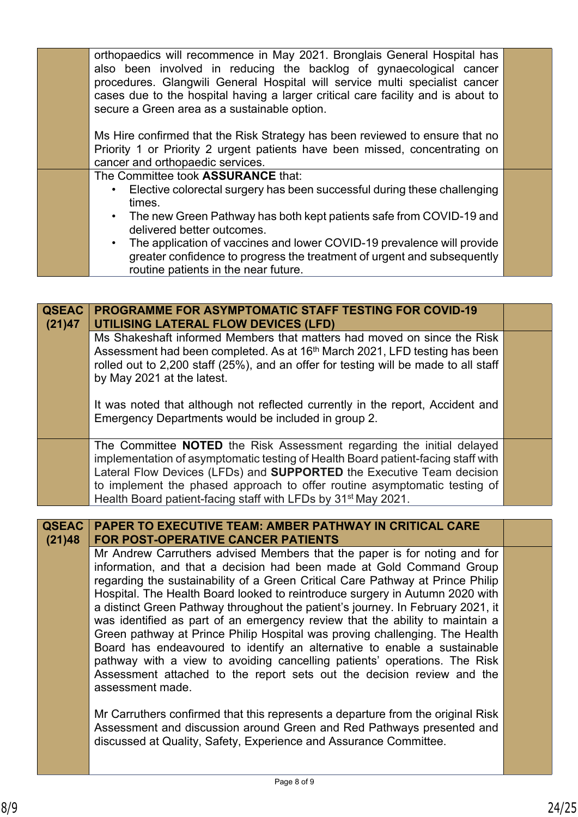|  | orthopaedics will recommence in May 2021. Bronglais General Hospital has         |  |
|--|----------------------------------------------------------------------------------|--|
|  | also been involved in reducing the backlog of gynaecological cancer              |  |
|  | procedures. Glangwili General Hospital will service multi specialist cancer      |  |
|  | cases due to the hospital having a larger critical care facility and is about to |  |
|  | secure a Green area as a sustainable option.                                     |  |
|  |                                                                                  |  |
|  | Ms Hire confirmed that the Risk Strategy has been reviewed to ensure that no     |  |
|  | Priority 1 or Priority 2 urgent patients have been missed, concentrating on      |  |
|  | cancer and orthopaedic services.                                                 |  |
|  | The Committee took ASSURANCE that:                                               |  |
|  | • Elective colorectal surgery has been successful during these challenging       |  |
|  | times.                                                                           |  |
|  | • The new Green Pathway has both kept patients safe from COVID-19 and            |  |
|  | delivered better outcomes.                                                       |  |
|  | • The application of vaccines and lower COVID-19 prevalence will provide         |  |
|  | greater confidence to progress the treatment of urgent and subsequently          |  |
|  | routine patients in the near future.                                             |  |
|  |                                                                                  |  |

| <b>QSEAC</b><br>(21)47 | <b>PROGRAMME FOR ASYMPTOMATIC STAFF TESTING FOR COVID-19</b><br>UTILISING LATERAL FLOW DEVICES (LFD)                                                                                                                                                                                                                                                                                                                                                                                                                                                                                                                                                                                                                                                                                                                         |  |
|------------------------|------------------------------------------------------------------------------------------------------------------------------------------------------------------------------------------------------------------------------------------------------------------------------------------------------------------------------------------------------------------------------------------------------------------------------------------------------------------------------------------------------------------------------------------------------------------------------------------------------------------------------------------------------------------------------------------------------------------------------------------------------------------------------------------------------------------------------|--|
|                        | Ms Shakeshaft informed Members that matters had moved on since the Risk<br>Assessment had been completed. As at 16 <sup>th</sup> March 2021, LFD testing has been<br>rolled out to 2,200 staff (25%), and an offer for testing will be made to all staff<br>by May 2021 at the latest.                                                                                                                                                                                                                                                                                                                                                                                                                                                                                                                                       |  |
|                        | It was noted that although not reflected currently in the report, Accident and<br>Emergency Departments would be included in group 2.                                                                                                                                                                                                                                                                                                                                                                                                                                                                                                                                                                                                                                                                                        |  |
|                        | The Committee NOTED the Risk Assessment regarding the initial delayed<br>implementation of asymptomatic testing of Health Board patient-facing staff with<br>Lateral Flow Devices (LFDs) and <b>SUPPORTED</b> the Executive Team decision<br>to implement the phased approach to offer routine asymptomatic testing of<br>Health Board patient-facing staff with LFDs by 31 <sup>st</sup> May 2021.                                                                                                                                                                                                                                                                                                                                                                                                                          |  |
|                        |                                                                                                                                                                                                                                                                                                                                                                                                                                                                                                                                                                                                                                                                                                                                                                                                                              |  |
| <b>QSEAC</b><br>(21)48 | <b>PAPER TO EXECUTIVE TEAM: AMBER PATHWAY IN CRITICAL CARE</b><br><b>FOR POST-OPERATIVE CANCER PATIENTS</b>                                                                                                                                                                                                                                                                                                                                                                                                                                                                                                                                                                                                                                                                                                                  |  |
|                        | Mr Andrew Carruthers advised Members that the paper is for noting and for<br>information, and that a decision had been made at Gold Command Group<br>regarding the sustainability of a Green Critical Care Pathway at Prince Philip<br>Hospital. The Health Board looked to reintroduce surgery in Autumn 2020 with<br>a distinct Green Pathway throughout the patient's journey. In February 2021, it<br>was identified as part of an emergency review that the ability to maintain a<br>Green pathway at Prince Philip Hospital was proving challenging. The Health<br>Board has endeavoured to identify an alternative to enable a sustainable<br>pathway with a view to avoiding cancelling patients' operations. The Risk<br>Assessment attached to the report sets out the decision review and the<br>assessment made. |  |

Mr Carruthers confirmed that this represents a departure from the original Risk Assessment and discussion around Green and Red Pathways presented and discussed at Quality, Safety, Experience and Assurance Committee.